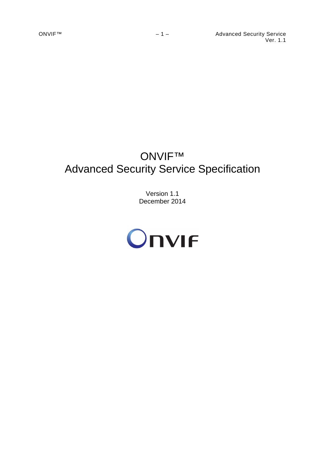# ONVIF™ Advanced Security Service Specification

Version 1.1 December 2014

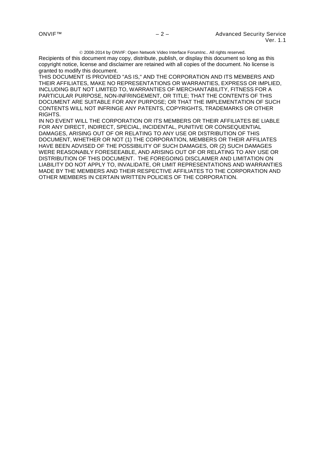2008-2014 by ONVIF: Open Network Video Interface ForumInc.. All rights reserved.

Recipients of this document may copy, distribute, publish, or display this document so long as this copyright notice, license and disclaimer are retained with all copies of the document. No license is granted to modify this document.

THIS DOCUMENT IS PROVIDED "AS IS," AND THE CORPORATION AND ITS MEMBERS AND THEIR AFFILIATES, MAKE NO REPRESENTATIONS OR WARRANTIES, EXPRESS OR IMPLIED, INCLUDING BUT NOT LIMITED TO, WARRANTIES OF MERCHANTABILITY, FITNESS FOR A PARTICULAR PURPOSE, NON-INFRINGEMENT, OR TITLE; THAT THE CONTENTS OF THIS DOCUMENT ARE SUITABLE FOR ANY PURPOSE; OR THAT THE IMPLEMENTATION OF SUCH CONTENTS WILL NOT INFRINGE ANY PATENTS, COPYRIGHTS, TRADEMARKS OR OTHER RIGHTS.

IN NO EVENT WILL THE CORPORATION OR ITS MEMBERS OR THEIR AFFILIATES BE LIABLE FOR ANY DIRECT, INDIRECT, SPECIAL, INCIDENTAL, PUNITIVE OR CONSEQUENTIAL DAMAGES, ARISING OUT OF OR RELATING TO ANY USE OR DISTRIBUTION OF THIS DOCUMENT, WHETHER OR NOT (1) THE CORPORATION, MEMBERS OR THEIR AFFILIATES HAVE BEEN ADVISED OF THE POSSIBILITY OF SUCH DAMAGES, OR (2) SUCH DAMAGES WERE REASONABLY FORESEEABLE, AND ARISING OUT OF OR RELATING TO ANY USE OR DISTRIBUTION OF THIS DOCUMENT. THE FOREGOING DISCLAIMER AND LIMITATION ON LIABILITY DO NOT APPLY TO, INVALIDATE, OR LIMIT REPRESENTATIONS AND WARRANTIES MADE BY THE MEMBERS AND THEIR RESPECTIVE AFFILIATES TO THE CORPORATION AND OTHER MEMBERS IN CERTAIN WRITTEN POLICIES OF THE CORPORATION.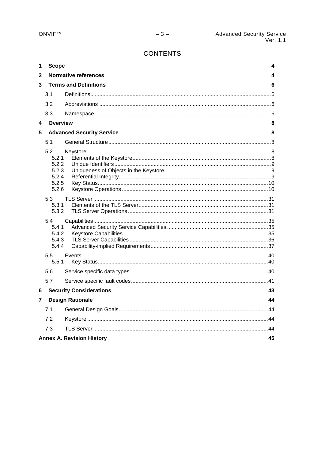# **CONTENTS**

| 1 | <b>Scope</b>                                              | 4                                     |  |  |
|---|-----------------------------------------------------------|---------------------------------------|--|--|
| 2 |                                                           | <b>Normative references</b><br>4      |  |  |
| 3 |                                                           | <b>Terms and Definitions</b><br>6     |  |  |
|   | 3.1                                                       |                                       |  |  |
|   | 3.2                                                       |                                       |  |  |
|   | 3.3                                                       |                                       |  |  |
| 4 | <b>Overview</b>                                           | 8                                     |  |  |
| 5 |                                                           | <b>Advanced Security Service</b><br>8 |  |  |
|   | 5.1                                                       |                                       |  |  |
|   | 5.2<br>5.2.1<br>5.2.2<br>5.2.3<br>5.2.4<br>5.2.5<br>5.2.6 |                                       |  |  |
|   | 5.3<br>5.3.1<br>5.3.2                                     |                                       |  |  |
|   | 5.4<br>5.4.1<br>5.4.2<br>5.4.3<br>5.4.4                   |                                       |  |  |
|   | 5.5<br>5.5.1                                              |                                       |  |  |
|   | 5.6                                                       |                                       |  |  |
|   | 5.7                                                       |                                       |  |  |
| 6 |                                                           | <b>Security Considerations</b><br>43  |  |  |
| 7 |                                                           | <b>Design Rationale</b><br>44         |  |  |
|   | 7.1                                                       |                                       |  |  |
|   | 7.2                                                       |                                       |  |  |
|   | 7.3                                                       |                                       |  |  |
|   | 45<br><b>Annex A. Revision History</b>                    |                                       |  |  |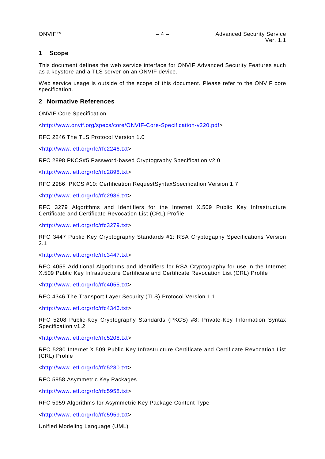## <span id="page-3-0"></span>**1 Scope**

This document defines the web service interface for ONVIF Advanced Security Features such as a keystore and a TLS server on an ONVIF device.

Web service usage is outside of the scope of this document. Please refer to the ONVIF core specification.

## <span id="page-3-1"></span>**2 Normative References**

ONVIF Core Specification

[<http://www.onvif.org/specs/core/ONVIF-Core-Specification-v220.pdf>](http://www.onvif.org/specs/core/ONVIF-Core-Specification-v220.pdf)

RFC 2246 The TLS Protocol Version 1.0

[<http://www.ietf.org/rfc/rfc2246.txt>](http://www.ietf.org/rfc/rfc2246.txt)

RFC 2898 PKCS#5 Password-based Cryptography Specification v2.0

[<http://www.ietf.org/rfc/rfc2898.txt>](http://www.ietf.org/rfc/rfc2898.txt)

RFC 2986 PKCS #10: Certification RequestSyntaxSpecification Version 1.7

[<http://www.ietf.org/rfc/rfc2986.txt>](http://www.ietf.org/rfc/rfc2986.txt)

RFC 3279 Algorithms and Identifiers for the Internet X.509 Public Key Infrastructure Certificate and Certificate Revocation List (CRL) Profile

[<http://www.ietf.org/rfc/rfc3279.txt>](http://www.ietf.org/rfc/rfc3279.txt)

RFC 3447 Public Key Cryptography Standards #1: RSA Cryptogaphy Specifications Version 2.1

[<http://www.ietf.org/rfc/rfc3447.txt>](http://www.ietf.org/rfc/rfc3447.txt)

RFC 4055 Additional Algorithms and Identifiers for RSA Cryptography for use in the Internet X.509 Public Key Infrastructure Certificate and Certificate Revocation List (CRL) Profile

[<http://www.ietf.org/rfc/rfc4055.txt>](http://www.ietf.org/rfc/rfc4055.txt)

RFC 4346 The Transport Layer Security (TLS) Protocol Version 1.1

[<http://www.ietf.org/rfc/rfc4346.txt>](http://www.ietf.org/rfc/rfc4346.txt)

RFC 5208 Public-Key Cryptography Standards (PKCS) #8: Private-Key Information Syntax Specification v1.2

[<http://www.ietf.org/rfc/rfc5208.txt>](http://www.ietf.org/rfc/rfc5208.txt)

RFC 5280 Internet X.509 Public Key Infrastructure Certificate and Certificate Revocation List (CRL) Profile

[<http://www.ietf.org/rfc/rfc5280.txt>](http://www.ietf.org/rfc/rfc5280.txt)

RFC 5958 Asymmetric Key Packages

[<http://www.ietf.org/rfc/rfc5958.txt>](http://www.ietf.org/rfc/rfc5958.txt)

RFC 5959 Algorithms for Asymmetric Key Package Content Type

[<http://www.ietf.org/rfc/rfc5959.txt>](http://www.ietf.org/rfc/rfc5959.txt)

Unified Modeling Language (UML)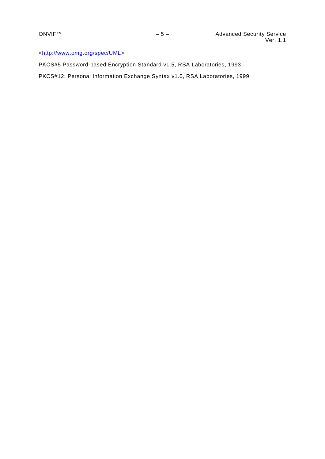# [<http://www.omg.org/spec/UML>](http://www.omg.org/spec/UML)

PKCS#5 Password-based Encryption Standard v1.5, RSA Laboratories, 1993 PKCS#12: Personal Information Exchange Syntax v1.0, RSA Laboratories, 1999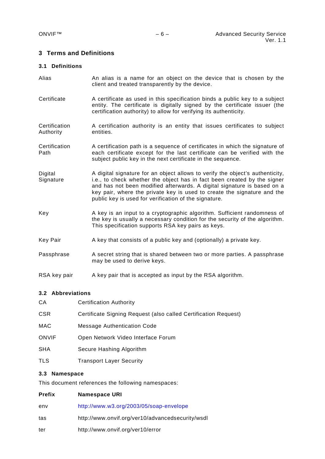## <span id="page-5-0"></span>**3 Terms and Definitions**

## <span id="page-5-1"></span>**3.1 Definitions**

- Alias **An alias is a name for an object on the device that is chosen by the** client and treated transparently by the device.
- Certificate A certificate as used in this specification binds a public key to a subject entity. The certificate is digitally signed by the certificate issuer (the certification authority) to allow for verifying its authenticity.
- **Certification** Authority A certification authority is an entity that issues certificates to subject entities.
- **Certification** Path A certification path is a sequence of certificates in which the signature of each certificate except for the last certificate can be verified with the subject public key in the next certificate in the sequence.
- Digital **Signature** A digital signature for an object allows to verify the object's authenticity, i.e., to check whether the object has in fact been created by the signer and has not been modified afterwards. A digital signature is based on a key pair, where the private key is used to create the signature and the public key is used for verification of the signature.
- Key A key is an input to a cryptographic algorithm. Sufficient randomness of the key is usually a necessary condition for the security of the algorithm. This specification supports RSA key pairs as keys.
- Key Pair A key that consists of a public key and (optionally) a private key.
- Passphrase A secret string that is shared between two or more parties. A passphrase may be used to derive keys.
- RSA key pair A key pair that is accepted as input by the RSA algorithm.

#### <span id="page-5-2"></span>**3.2 Abbreviations**

| CА           | <b>Certification Authority</b>                                  |
|--------------|-----------------------------------------------------------------|
| CSR          | Certificate Signing Request (also called Certification Request) |
| MAC          | <b>Message Authentication Code</b>                              |
| <b>ONVIF</b> | Open Network Video Interface Forum                              |
| SHA          | Secure Hashing Algorithm                                        |
| TLS          | <b>Transport Layer Security</b>                                 |

## <span id="page-5-3"></span>**3.3 Namespace**

This document references the following namespaces:

| Prefix | <b>Namespace URI</b>                             |
|--------|--------------------------------------------------|
| env    | http://www.w3.org/2003/05/soap-envelope          |
| tas    | http://www.onvif.org/ver10/advancedsecurity/wsdl |
| ter    | http://www.onvif.org/ver10/error                 |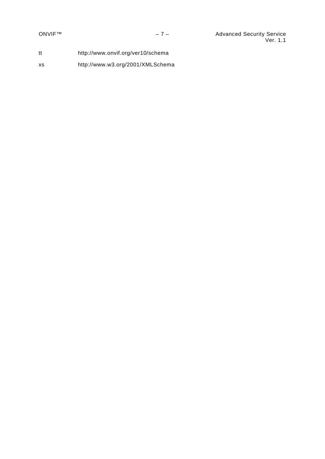tt http://www.onvif.org/ver10/schema

xs http://www.w3.org/2001/XMLSchema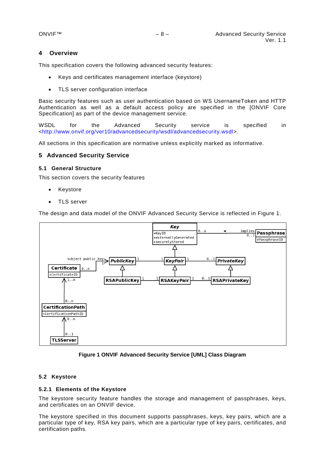## <span id="page-7-0"></span>**4 Overview**

This specification covers the following advanced security features:

- Keys and certificates management interface (keystore)
- TLS server configuration interface

Basic security features such as user authentication based on WS UsernameToken and HTTP Authentication as well as a default access policy are specified in the [ONVIF Core Specification] as part of the device management service.

WSDL for the Advanced Security service is specified in [<http://www.onvif.org/ver10/advancedsecurity/wsdl/advancedsecurity.wsdl>](http://www.onvif.org/ver10/advancedsecurity/wsdl/advancedsecurity.wsdl).

All sections in this specification are normative unless explicitly marked as informative.

## <span id="page-7-1"></span>**5 Advanced Security Service**

## <span id="page-7-2"></span>**5.1 General Structure**

This section covers the security features

- **Keystore**
- TLS server

The design and data model of the ONVIF Advanced Security Service is reflected in Figure 1.



**Figure 1 ONVIF Advanced Security Service [UML] Class Diagram**

## <span id="page-7-3"></span>**5.2 Keystore**

#### <span id="page-7-4"></span>**5.2.1 Elements of the Keystore**

The keystore security feature handles the storage and management of passphrases, keys, and certificates on an ONVIF device.

The keystore specified in this document supports passphrases, keys, key pairs, which are a particular type of key, RSA key pairs, which are a particular type of key pairs, certificates, and certification paths.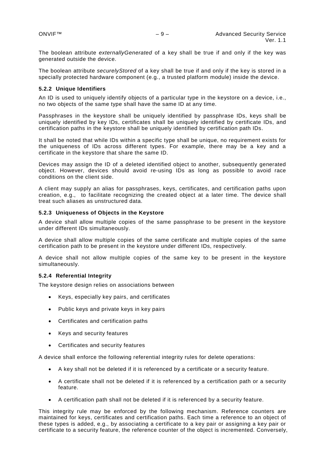The boolean attribute *externallyGenerated* of a key shall be true if and only if the key was generated outside the device.

The boolean attribute *securelyStored* of a key shall be true if and only if the key is stored in a specially protected hardware component (e.g., a trusted platform module) inside the device.

#### <span id="page-8-0"></span>**5.2.2 Unique Identifiers**

An ID is used to uniquely identify objects of a particular type in the keystore on a device, i.e., no two objects of the same type shall have the same ID at any time.

Passphrases in the keystore shall be uniquely identified by passphrase IDs, keys shall be uniquely identified by key IDs, certificates shall be uniquely identified by certificate IDs, and certification paths in the keystore shall be uniquely identified by certification path IDs.

It shall be noted that while IDs within a specific type shall be unique, no requirement exists for the uniqueness of IDs across different types. For example, there may be a key and a certificate in the keystore that share the same ID.

Devices may assign the ID of a deleted identified object to another, subsequently generated object. However, devices should avoid re-using IDs as long as possible to avoid race conditions on the client side.

A client may supply an alias for passphrases, keys, certificates, and certification paths upon creation, e.g., to facilitate recognizing the created object at a later time. The device shall treat such aliases as unstructured data.

#### <span id="page-8-1"></span>**5.2.3 Uniqueness of Objects in the Keystore**

A device shall allow multiple copies of the same passphrase to be present in the keystore under different IDs simultaneously.

A device shall allow multiple copies of the same certificate and multiple copies of the same certification path to be present in the keystore under different IDs, respectively.

A device shall not allow multiple copies of the same key to be present in the keystore simultaneously.

#### <span id="page-8-2"></span>**5.2.4 Referential Integrity**

The keystore design relies on associations between

- Keys, especially key pairs, and certificates
- Public keys and private keys in key pairs
- Certificates and certification paths
- Keys and security features
- Certificates and security features

A device shall enforce the following referential integrity rules for delete operations:

- A key shall not be deleted if it is referenced by a certificate or a security feature.
- A certificate shall not be deleted if it is referenced by a certification path or a security feature.
- A certification path shall not be deleted if it is referenced by a security feature.

This integrity rule may be enforced by the following mechanism. Reference counters are maintained for keys, certificates and certification paths. Each time a reference to an object of these types is added, e.g., by associating a certificate to a key pair or assigning a key pair or certificate to a security feature, the reference counter of the object is incremented. Conversely,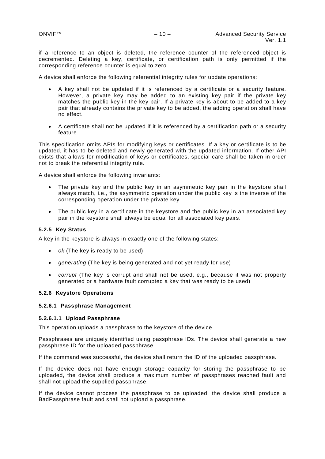if a reference to an object is deleted, the reference counter of the referenced object is decremented. Deleting a key, certificate, or certification path is only permitted if the corresponding reference counter is equal to zero.

A device shall enforce the following referential integrity rules for update operations:

- A key shall not be updated if it is referenced by a certificate or a security feature. However, a private key may be added to an existing key pair if the private key matches the public key in the key pair. If a private key is about to be added to a key pair that already contains the private key to be added, the adding operation shall have no effect.
- A certificate shall not be updated if it is referenced by a certification path or a security feature.

This specification omits APIs for modifying keys or certificates. If a key or certificate is to be updated, it has to be deleted and newly generated with the updated information. If other API exists that allows for modification of keys or certificates, special care shall be taken in order not to break the referential integrity rule.

A device shall enforce the following invariants:

- The private key and the public key in an asymmetric key pair in the keystore shall always match, i.e., the asymmetric operation under the public key is the inverse of the corresponding operation under the private key.
- The public key in a certificate in the keystore and the public key in an associated key pair in the keystore shall always be equal for all associated key pairs.

#### <span id="page-9-0"></span>**5.2.5 Key Status**

A key in the keystore is always in exactly one of the following states:

- *ok* (The key is ready to be used)
- *generating* (The key is being generated and not yet ready for use)
- *corrupt* (The key is corrupt and shall not be used, e.g., because it was not properly generated or a hardware fault corrupted a key that was ready to be used)

#### <span id="page-9-1"></span>**5.2.6 Keystore Operations**

#### **5.2.6.1 Passphrase Management**

## **5.2.6.1.1 Upload Passphrase**

This operation uploads a passphrase to the keystore of the device.

Passphrases are uniquely identified using passphrase IDs. The device shall generate a new passphrase ID for the uploaded passphrase.

If the command was successful, the device shall return the ID of the uploaded passphrase.

If the device does not have enough storage capacity for storing the passphrase to be uploaded, the device shall produce a maximum number of passphrases reached fault and shall not upload the supplied passphrase.

If the device cannot process the passphrase to be uploaded, the device shall produce a BadPassphrase fault and shall not upload a passphrase.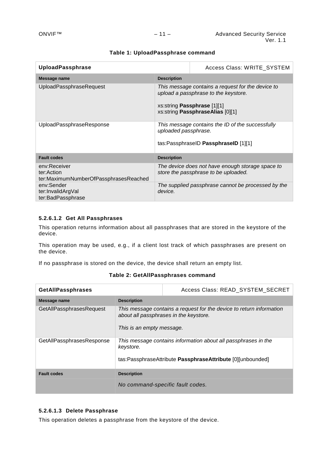| <b>UploadPassphrase</b>                                             | Access Class: WRITE SYSTEM |                                                                                                                                                                     |
|---------------------------------------------------------------------|----------------------------|---------------------------------------------------------------------------------------------------------------------------------------------------------------------|
| Message name                                                        | <b>Description</b>         |                                                                                                                                                                     |
| UploadPassphraseRequest                                             |                            | This message contains a request for the device to<br>upload a passphrase to the keystore.<br>xs:string <b>Passphrase</b> [1][1]<br>xs:string PassphraseAlias [0][1] |
| UploadPassphraseResponse                                            | uploaded passphrase.       | This message contains the ID of the successfully<br>tas:PassphraseID PassphraseID [1][1]                                                                            |
| <b>Fault codes</b>                                                  | <b>Description</b>         |                                                                                                                                                                     |
| env:Receiver<br>ter:Action<br>ter:MaximumNumberOfPassphrasesReached |                            | The device does not have enough storage space to<br>store the passphrase to be uploaded.                                                                            |
| env:Sender<br>ter:InvalidArgVal<br>ter:BadPassphrase                | device.                    | The supplied passphrase cannot be processed by the                                                                                                                  |

## **Table 1: UploadPassphrase command**

## **5.2.6.1.2 Get All Passphrases**

This operation returns information about all passphrases that are stored in the keystore of the device.

This operation may be used, e.g., if a client lost track of which passphrases are present on the device.

If no passphrase is stored on the device, the device shall return an empty list.

| <b>GetAllPassphrases</b>  |                                                                                                                                             | Access Class: READ_SYSTEM_SECRET                                                                                             |  |
|---------------------------|---------------------------------------------------------------------------------------------------------------------------------------------|------------------------------------------------------------------------------------------------------------------------------|--|
| Message name              | <b>Description</b>                                                                                                                          |                                                                                                                              |  |
| GetAllPassphrasesRequest  | This message contains a request for the device to return information<br>about all passphrases in the keystore.<br>This is an empty message. |                                                                                                                              |  |
| GetAllPassphrasesResponse | keystore.                                                                                                                                   | This message contains information about all passphrases in the<br>tas:PassphraseAttribute PassphraseAttribute [0][unbounded] |  |
| <b>Fault codes</b>        | <b>Description</b>                                                                                                                          |                                                                                                                              |  |
|                           |                                                                                                                                             | No command-specific fault codes.                                                                                             |  |

## **Table 2: GetAllPassphrases command**

## **5.2.6.1.3 Delete Passphrase**

This operation deletes a passphrase from the keystore of the device.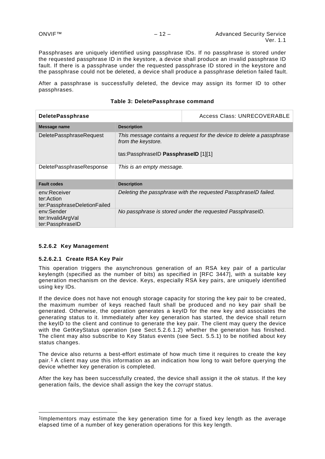Passphrases are uniquely identified using passphrase IDs. If no passphrase is stored under the requested passphrase ID in the keystore, a device shall produce an invalid passphrase ID fault. If there is a passphrase under the requested passphrase ID stored in the keystore and the passphrase could not be deleted, a device shall produce a passphrase deletion failed fault.

After a passphrase is successfully deleted, the device may assign its former ID to other passphrases.

| <b>DeletePassphrase</b>                                    |                                                                                                                                     | Access Class: UNRECOVERABLE                               |
|------------------------------------------------------------|-------------------------------------------------------------------------------------------------------------------------------------|-----------------------------------------------------------|
| Message name                                               | <b>Description</b>                                                                                                                  |                                                           |
| DeletePassphraseRequest                                    | This message contains a request for the device to delete a passphrase<br>from the keystore.<br>tas:PassphraseID PassphraseID [1][1] |                                                           |
| DeletePassphraseResponse<br>This is an empty message.      |                                                                                                                                     |                                                           |
| <b>Fault codes</b>                                         | <b>Description</b>                                                                                                                  |                                                           |
| env:Receiver<br>ter:Action<br>ter:PassphraseDeletionFailed | Deleting the passphrase with the requested PassphraseID failed.                                                                     |                                                           |
| env:Sender<br>ter:InvalidArgVal<br>ter:PassphraseID        |                                                                                                                                     | No passphrase is stored under the requested PassphraseID. |

## **Table 3: DeletePassphrase command**

#### **5.2.6.2 Key Management**

-

#### **5.2.6.2.1 Create RSA Key Pair**

This operation triggers the asynchronous generation of an RSA key pair of a particular keylength (specified as the number of bits) as specified in [RFC 3447], with a suitable key generation mechanism on the device. Keys, especially RSA key pairs, are uniquely identified using key IDs.

If the device does not have not enough storage capacity for storing the key pair to be created, the maximum number of keys reached fault shall be produced and no key pair shall be generated. Otherwise, the operation generates a keyID for the new key and associates the *generating* status to it. Immediately after key generation has started, the device shall return the keyID to the client and continue to generate the key pair. The client may query the device with the GetKeyStatus operation (see Sect[.5.2.6.1.2\)](#page-14-0) whether the generation has finished. The client may also subscribe to Key Status events (see Sect. [5.5.1\)](#page-39-1) to be notified about key status changes.

The device also returns a best-effort estimate of how much time it requires to create the key pair.[1](#page-11-0) A client may use this information as an indication how long to wait before querying the device whether key generation is completed.

After the key has been successfully created, the device shall assign it the *ok* status. If the key generation fails, the device shall assign the key the *corrupt* status.

<span id="page-11-0"></span><sup>1</sup>Implementors may estimate the key generation time for a fixed key length as the average elapsed time of a number of key generation operations for this key length.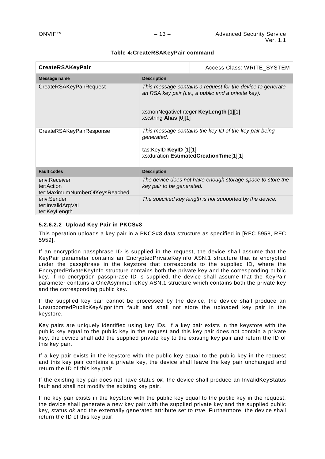#### **Table 4:CreateRSAKeyPair command**

| <b>CreateRSAKeyPair</b>                                      | Access Class: WRITE_SYSTEM                                                                                                                                                            |                                                                                                   |
|--------------------------------------------------------------|---------------------------------------------------------------------------------------------------------------------------------------------------------------------------------------|---------------------------------------------------------------------------------------------------|
| Message name                                                 | <b>Description</b>                                                                                                                                                                    |                                                                                                   |
| CreateRSAKeyPairRequest                                      | This message contains a request for the device to generate<br>an RSA key pair (i.e., a public and a private key).<br>xs:nonNegativeInteger KeyLength [1][1]<br>xs:string Alias [0][1] |                                                                                                   |
| CreateRSAKeyPairResponse                                     | generated.<br>tas:KeylD KeylD [1][1]                                                                                                                                                  | This message contains the key ID of the key pair being<br>xs:duration EstimatedCreationTime[1][1] |
| <b>Fault codes</b>                                           | <b>Description</b>                                                                                                                                                                    |                                                                                                   |
| env:Receiver<br>ter:Action<br>ter:MaximumNumberOfKeysReached | key pair to be generated.                                                                                                                                                             | The device does not have enough storage space to store the                                        |
| env:Sender<br>ter:InvalidArgVal<br>ter:KeyLength             |                                                                                                                                                                                       | The specified key length is not supported by the device.                                          |

## **5.2.6.2.2 Upload Key Pair in PKCS#8**

This operation uploads a key pair in a PKCS#8 data structure as specified in [RFC 5958, RFC 5959].

If an encryption passphrase ID is supplied in the request, the device shall assume that the KeyPair parameter contains an EncryptedPrivateKeyInfo ASN.1 structure that is encrypted under the passphrase in the keystore that corresponds to the supplied ID, where the EncryptedPrivateKeyInfo structure contains both the private key and the corresponding public key. If no encryption passphrase ID is supplied, the device shall assume that the KeyPair parameter contains a OneAsymmetricKey ASN.1 structure which contains both the private key and the corresponding public key.

If the supplied key pair cannot be processed by the device, the device shall produce an UnsupportedPublicKeyAlgorithm fault and shall not store the uploaded key pair in the keystore.

Key pairs are uniquely identified using key IDs. If a key pair exists in the keystore with the public key equal to the public key in the request and this key pair does not contain a private key, the device shall add the supplied private key to the existing key pair and return the ID of this key pair.

If a key pair exists in the keystore with the public key equal to the public key in the request and this key pair contains a private key, the device shall leave the key pair unchanged and return the ID of this key pair.

If the existing key pair does not have status *ok*, the device shall produce an InvalidKeyStatus fault and shall not modify the existing key pair.

If no key pair exists in the keystore with the public key equal to the public key in the request, the device shall generate a new key pair with the supplied private key and the supplied public key, status *ok* and the externally generated attribute set to *true*. Furthermore, the device shall return the ID of this key pair.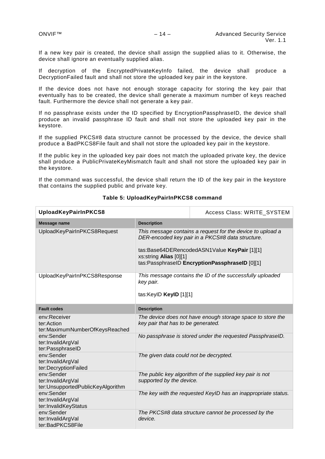If a new key pair is created, the device shall assign the supplied alias to it. Otherwise, the device shall ignore an eventually supplied alias.

If decryption of the EncryptedPrivateKeyInfo failed, the device shall produce a DecryptionFailed fault and shall not store the uploaded key pair in the keystore.

If the device does not have not enough storage capacity for storing the key pair that eventually has to be created, the device shall generate a maximum number of keys reached fault. Furthermore the device shall not generate a key pair.

If no passphrase exists under the ID specified by EncryptionPassphraseID, the device shall produce an invalid passphrase ID fault and shall not store the uploaded key pair in the keystore.

If the supplied PKCS#8 data structure cannot be processed by the device, the device shall produce a BadPKCS8File fault and shall not store the uploaded key pair in the keystore.

If the public key in the uploaded key pair does not match the uploaded private key, the device shall produce a PublicPrivateKeyMismatch fault and shall not store the uploaded key pair in the keystore.

If the command was successful, the device shall return the ID of the key pair in the keystore that contains the supplied public and private key.

| UploadKeyPairInPKCS8                                                 |                                                                                                                                                                                                                                            | Access Class: WRITE_SYSTEM                                    |
|----------------------------------------------------------------------|--------------------------------------------------------------------------------------------------------------------------------------------------------------------------------------------------------------------------------------------|---------------------------------------------------------------|
| <b>Message name</b>                                                  | <b>Description</b>                                                                                                                                                                                                                         |                                                               |
| UploadKeyPairInPKCS8Request                                          | This message contains a request for the device to upload a<br>DER-encoded key pair in a PKCS#8 data structure.<br>tas:Base64DERencodedASN1Value KeyPair [1][1]<br>xs:string Alias [0][1]<br>tas:PassphraseID EncryptionPassphraseID [0][1] |                                                               |
| UploadKeyPairInPKCS8Response                                         | This message contains the ID of the successfully uploaded<br>key pair.<br>tas:KeylD KeylD [1][1]                                                                                                                                           |                                                               |
| <b>Fault codes</b>                                                   | <b>Description</b>                                                                                                                                                                                                                         |                                                               |
| env:Receiver<br>ter:Action<br>ter:MaximumNumberOfKeysReached         | key pair that has to be generated.                                                                                                                                                                                                         | The device does not have enough storage space to store the    |
| env:Sender<br>ter:InvalidArgVal<br>ter:PassphraseID                  |                                                                                                                                                                                                                                            | No passphrase is stored under the requested PassphraseID.     |
| env:Sender<br>ter:InvalidArgVal<br>ter:DecryptionFailed              | The given data could not be decrypted.                                                                                                                                                                                                     |                                                               |
| env:Sender<br>ter:InvalidArgVal<br>ter:UnsupportedPublicKeyAlgorithm | supported by the device.                                                                                                                                                                                                                   | The public key algorithm of the supplied key pair is not      |
| env:Sender<br>ter:InvalidArgVal<br>ter:InvalidKeyStatus              |                                                                                                                                                                                                                                            | The key with the requested KeyID has an inappropriate status. |
| env:Sender<br>ter:InvalidArgVal<br>ter:BadPKCS8File                  | device.                                                                                                                                                                                                                                    | The PKCS#8 data structure cannot be processed by the          |

#### **Table 5: UploadKeyPairInPKCS8 command**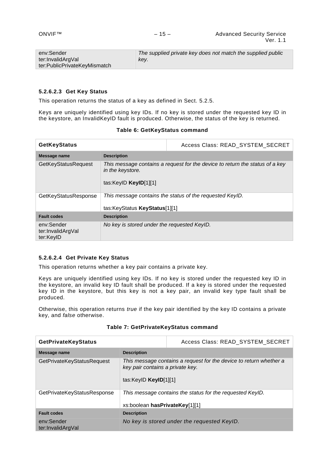| env:Sender                   | The supplied private key does not match the supplied public |
|------------------------------|-------------------------------------------------------------|
| ter:InvalidArgVal            | key.                                                        |
| ter:PublicPrivateKeyMismatch |                                                             |

## <span id="page-14-0"></span>**5.2.6.2.3 Get Key Status**

This operation returns the status of a key as defined in Sect. [5.2.5.](#page-9-0)

Keys are uniquely identified using key IDs. If no key is stored under the requested key ID in the keystore, an InvalidKeyID fault is produced. Otherwise, the status of the key is returned.

| <b>GetKeyStatus</b>                          |                                                                                                                             | Access Class: READ_SYSTEM_SECRET                         |  |
|----------------------------------------------|-----------------------------------------------------------------------------------------------------------------------------|----------------------------------------------------------|--|
| Message name                                 | <b>Description</b>                                                                                                          |                                                          |  |
| <b>GetKeyStatusRequest</b>                   | This message contains a request for the device to return the status of a key<br>in the keystore.<br>tas:KeylD $KeyID[1][1]$ |                                                          |  |
| GetKeyStatusResponse                         | tas:KeyStatus KeyStatus[1][1]                                                                                               | This message contains the status of the requested KeylD. |  |
| <b>Fault codes</b>                           | <b>Description</b>                                                                                                          |                                                          |  |
| env:Sender<br>ter:InvalidArgVal<br>ter:KeyID | No key is stored under the requested KeylD.                                                                                 |                                                          |  |

#### **5.2.6.2.4 Get Private Key Status**

This operation returns whether a key pair contains a private key.

Keys are uniquely identified using key IDs. If no key is stored under the requested key ID in the keystore, an invalid key ID fault shall be produced. If a key is stored under the requested key ID in the keystore, but this key is not a key pair, an invalid key type fault shall be produced.

Otherwise, this operation returns *true* if the key pair identified by the key ID contains a private key, and *false* otherwise.

| Table 7: GetPrivateKeyStatus command |  |
|--------------------------------------|--|
|--------------------------------------|--|

| <b>GetPrivateKeyStatus</b>      |                                                             | Access Class: READ_SYSTEM_SECRET                                   |
|---------------------------------|-------------------------------------------------------------|--------------------------------------------------------------------|
| Message name                    | <b>Description</b>                                          |                                                                    |
| GetPrivateKeyStatusRequest      | key pair contains a private key.<br>tas:KeylD $KeyID[1][1]$ | This message contains a request for the device to return whether a |
| GetPrivateKeyStatusResponse     | xs:boolean hasPrivateKey[1][1]                              | This message contains the status for the requested KeylD.          |
| <b>Fault codes</b>              | <b>Description</b>                                          |                                                                    |
| env:Sender<br>ter:InvalidArgVal |                                                             | No key is stored under the requested KeyID.                        |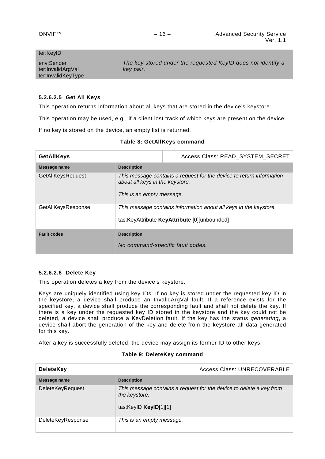## ter:KeyID

| env:Sender         | The key stored under the requested KeylD does not identify a |
|--------------------|--------------------------------------------------------------|
| ter:InvalidArgVal  | key pair.                                                    |
| ter:InvalidKeyType |                                                              |

### **5.2.6.2.5 Get All Keys**

This operation returns information about all keys that are stored in the device's keystore.

This operation may be used, e.g., if a client lost track of which keys are present on the device.

If no key is stored on the device, an empty list is returned.

| <b>GetAllKeys</b>  |                                                              | Access Class: READ_SYSTEM_SECRET                                                                                  |
|--------------------|--------------------------------------------------------------|-------------------------------------------------------------------------------------------------------------------|
| Message name       | <b>Description</b>                                           |                                                                                                                   |
| GetAllKeysRequest  | about all keys in the keystore.<br>This is an empty message. | This message contains a request for the device to return information                                              |
| GetAllKeysResponse |                                                              | This message contains information about all keys in the keystore.<br>tas:KeyAttribute KeyAttribute [0][unbounded] |
| <b>Fault codes</b> | <b>Description</b>                                           |                                                                                                                   |
|                    |                                                              | No command-specific fault codes.                                                                                  |

## **Table 8: GetAllKeys command**

## <span id="page-15-0"></span>**5.2.6.2.6 Delete Key**

This operation deletes a key from the device's keystore.

Keys are uniquely identified using key IDs. If no key is stored under the requested key ID in the keystore, a device shall produce an InvalidArgVal fault. If a reference exists for the specified key, a device shall produce the corresponding fault and shall not delete the key. If there is a key under the requested key ID stored in the keystore and the key could not be deleted, a device shall produce a KeyDeletion fault. If the key has the status *generating*, a device shall abort the generation of the key and delete from the keystore all data generated for this key.

After a key is successfully deleted, the device may assign its former ID to other keys.

#### **Table 9: DeleteKey command**

| <b>DeleteKey</b>        |                                          | Access Class: UNRECOVERABLE                                         |
|-------------------------|------------------------------------------|---------------------------------------------------------------------|
| Message name            | <b>Description</b>                       |                                                                     |
| <b>DeleteKeyRequest</b> | the keystore.<br>tas:KeylD $KeyID[1][1]$ | This message contains a request for the device to delete a key from |
| DeleteKeyResponse       | This is an empty message.                |                                                                     |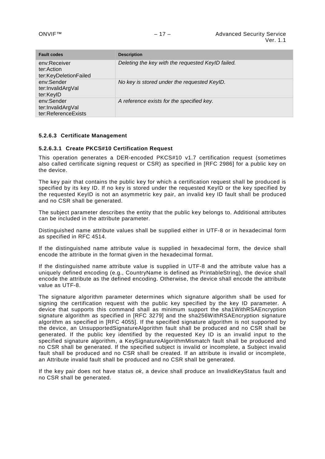| <b>Fault codes</b>                                     | <b>Description</b>                                |
|--------------------------------------------------------|---------------------------------------------------|
| env:Receiver<br>ter:Action<br>ter:KeyDeletionFailed    | Deleting the key with the requested KeylD failed. |
| env:Sender<br>ter:InvalidArgVal<br>ter:KeyID           | No key is stored under the requested KeylD.       |
| env:Sender<br>ter:InvalidArgVal<br>ter:ReferenceExists | A reference exists for the specified key.         |

## **5.2.6.3 Certificate Management**

#### **5.2.6.3.1 Create PKCS#10 Certification Request**

This operation generates a DER-encoded PKCS#10 v1.7 certification request (sometimes also called certificate signing request or CSR) as specified in [RFC 2986] for a public key on the device.

The key pair that contains the public key for which a certification request shall be produced is specified by its key ID. If no key is stored under the requested KeyID or the key specified by the requested KeyID is not an asymmetric key pair, an invalid key ID fault shall be produced and no CSR shall be generated.

The subject parameter describes the entity that the public key belongs to. Additional attributes can be included in the attribute parameter.

Distinguished name attribute values shall be supplied either in UTF-8 or in hexadecimal form as specified in RFC 4514.

If the distinguished name attribute value is supplied in hexadecimal form, the device shall encode the attribute in the format given in the hexadecimal format.

If the distinguished name attribute value is supplied in UTF-8 and the attribute value has a uniquely defined encoding (e.g., CountryName is defined as PrintableString), the device shall encode the attribute as the defined encoding. Otherwise, the device shall encode the attribute value as UTF-8.

The signature algorithm parameter determines which signature algorithm shall be used for signing the certification request with the public key specified by the key ID parameter. A device that supports this command shall as minimum support the sha1WithRSAEncryption signature algorithm as specified in [RFC 3279] and the sha256WithRSAEncryption signature algorithm as specified in [RFC 4055]. If the specified signature algorithm is not supported by the device, an UnsupportedSignatureAlgorithm fault shall be produced and no CSR shall be generated. If the public key identified by the requested Key ID is an invalid input to the specified signature algorithm, a KeySignatureAlgorithmMismatch fault shall be produced and no CSR shall be generated. If the specified subject is invalid or incomplete, a Subject invalid fault shall be produced and no CSR shall be created. If an attribute is invalid or incomplete, an Attribute invalid fault shall be produced and no CSR shall be generated.

If the key pair does not have status *ok*, a device shall produce an InvalidKeyStatus fault and no CSR shall be generated.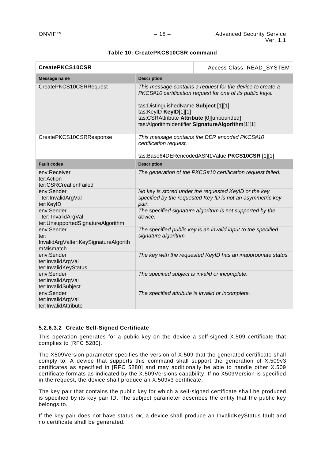## **Table 10: CreatePKCS10CSR command**

| CreatePKCS10CSR                                                          |                                                                                                            | Access Class: READ_SYSTEM                                                                                                                                                   |
|--------------------------------------------------------------------------|------------------------------------------------------------------------------------------------------------|-----------------------------------------------------------------------------------------------------------------------------------------------------------------------------|
| <b>Message name</b>                                                      | <b>Description</b>                                                                                         |                                                                                                                                                                             |
| CreatePKCS10CSRRequest                                                   | tas:DistinguishedName Subject [1][1]<br>tas:KeyID KeyID[1][1]<br>tas:CSRAttribute Attribute [0][unbounded] | This message contains a request for the device to create a<br>PKCS#10 certification request for one of its public keys.<br>tas:AlgorithmIdentifier SignatureAlgorithm[1][1] |
| CreatePKCS10CSRResponse                                                  | certification request.                                                                                     | This message contains the DER encoded PKCS#10<br>tas:Base64DERencodedASN1Value PKCS10CSR [1][1]                                                                             |
| <b>Fault codes</b>                                                       | <b>Description</b>                                                                                         |                                                                                                                                                                             |
| env:Receiver<br>ter:Action<br>ter:CSRCreationFailed                      |                                                                                                            | The generation of the PKCS#10 certification request failed.                                                                                                                 |
| env:Sender<br>ter:InvalidArgVal<br>ter:KeyID                             | pair.                                                                                                      | No key is stored under the requested KeyID or the key<br>specified by the requested Key ID is not an asymmetric key                                                         |
| env:Sender<br>ter: InvalidArgVal<br>ter:UnsupportedSignatureAlgorithm    | device.                                                                                                    | The specified signature algorithm is not supported by the                                                                                                                   |
| env:Sender<br>ter:<br>InvalidArgValter:KeySignatureAlgorith<br>mMismatch | signature algorithm.                                                                                       | The specified public key is an invalid input to the specified                                                                                                               |
| env:Sender<br>ter:InvalidArgVal<br>ter:InvalidKeyStatus                  |                                                                                                            | The key with the requested KeyID has an inappropriate status.                                                                                                               |
| env:Sender<br>ter:InvalidArgVal<br>ter:InvalidSubject                    | The specified subject is invalid or incomplete.                                                            |                                                                                                                                                                             |
| env:Sender<br>ter:InvalidArgVal<br>ter:InvalidAttribute                  |                                                                                                            | The specified attribute is invalid or incomplete.                                                                                                                           |

## **5.2.6.3.2 Create Self-Signed Certificate**

This operation generates for a public key on the device a self-signed X.509 certificate that complies to [RFC 5280].

The X509Version parameter specifies the version of X.509 that the generated certificate shall comply to. A device that supports this command shall support the generation of X.509v3 certificates as specified in [RFC 5280] and may additionally be able to handle other X.509 certificate formats as indicated by the X.509Versions capability. If no X509Version is specified in the request, the device shall produce an X.509v3 certificate.

The key pair that contains the public key for which a self-signed certificate shall be produced is specified by its key pair ID. The subject parameter describes the entity that the public key belongs to.

If the key pair does not have status *ok*, a device shall produce an InvalidKeyStatus fault and no certificate shall be generated.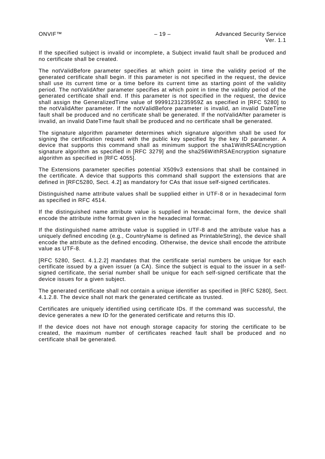If the specified subject is invalid or incomplete, a Subject invalid fault shall be produced and no certificate shall be created.

The notValidBefore parameter specifies at which point in time the validity period of the generated certificate shall begin. If this parameter is not specified in the request, the device shall use its current time or a time before its current time as starting point of the validity period. The notValidAfter parameter specifies at which point in time the validity period of the generated certificate shall end. If this parameter is not specified in the request, the device shall assign the GeneralizedTime value of 99991231235959Z as specified in [RFC 5280] to the notValidAfter parameter. If the notValidBefore parameter is invalid, an invalid DateTime fault shall be produced and no certificate shall be generated. If the notValidAfter parameter is invalid, an invalid DateTime fault shall be produced and no certificate shall be generated.

The signature algorithm parameter determines which signature algorithm shall be used for signing the certification request with the public key specified by the key ID parameter. A device that supports this command shall as minimum support the sha1WithRSAEncryption signature algorithm as specified in [RFC 3279] and the sha256WithRSAEncryption signature algorithm as specified in [RFC 4055].

The Extensions parameter specifies potential X509v3 extensions that shall be contained in the certificate. A device that supports this command shall support the extensions that are defined in [RFC5280, Sect. 4.2] as mandatory for CAs that issue self-signed certificates.

Distinguished name attribute values shall be supplied either in UTF-8 or in hexadecimal form as specified in RFC 4514.

If the distinguished name attribute value is supplied in hexadecimal form, the device shall encode the attribute inthe format given in the hexadecimal format.

If the distinguished name attribute value is supplied in UTF-8 and the attribute value has a uniquely defined encoding (e.g., CountryName is defined as PrintableString), the device shall encode the attribute as the defined encoding. Otherwise, the device shall encode the attribute value as UTF-8.

[RFC 5280, Sect. 4.1.2.2] mandates that the certificate serial numbers be unique for each certificate issued by a given issuer (a CA). Since the subject is equal to the issuer in a selfsigned certificate, the serial number shall be unique for each self-signed certificate that the device issues for a given subject.

The generated certificate shall not contain a unique identifier as specified in [RFC 5280], Sect. 4.1.2.8. The device shall not mark the generated certificate as trusted.

Certificates are uniquely identified using certificate IDs. If the command was successful, the device generates a new ID for the generated certificate and returns this ID.

If the device does not have not enough storage capacity for storing the certificate to be created, the maximum number of certificates reached fault shall be produced and no certificate shall be generated.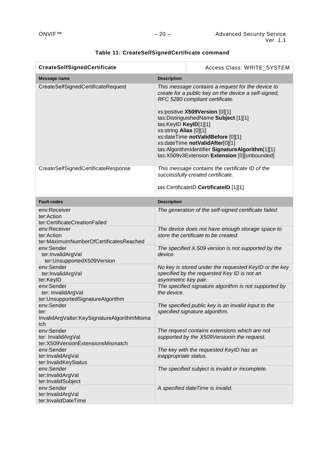| <b>CreateSelfSignedCertificate</b>                                       |                                                                                                                                                                                                                                                                                                                                                                                                                                                         | Access Class: WRITE_SYSTEM                                                                                                     |
|--------------------------------------------------------------------------|---------------------------------------------------------------------------------------------------------------------------------------------------------------------------------------------------------------------------------------------------------------------------------------------------------------------------------------------------------------------------------------------------------------------------------------------------------|--------------------------------------------------------------------------------------------------------------------------------|
| <b>Message name</b>                                                      | <b>Description</b>                                                                                                                                                                                                                                                                                                                                                                                                                                      |                                                                                                                                |
| CreateSelfSignedCertificateRequest                                       | This message contains a request for the device to<br>create for a public key on the device a self-signed,<br>RFC 5280 compliant certificate.<br>xs:positive X509Version [0][1]<br>tas: Distinguished Name Subject [1][1]<br>tas:KeyID KeyID[1][1]<br>xs:string Alias [0][1]<br>xs:dateTime notValidBefore [0][1]<br>xs:dateTime notValidAfter[0][1]<br>tas:AlgorithmIdentifier SignatureAlgorithm[1][1]<br>tas:X509v3Extension Extension [0][unbounded] |                                                                                                                                |
| CreateSelfSignedCertificateResponse                                      |                                                                                                                                                                                                                                                                                                                                                                                                                                                         | This message contains the certificate ID of the<br>successfully created certificate.<br>tas:CertificateID CertificateID [1][1] |
| <b>Fault codes</b>                                                       | <b>Description</b>                                                                                                                                                                                                                                                                                                                                                                                                                                      |                                                                                                                                |
| env:Receiver<br>ter:Action<br>ter:CertificateCreationFailed              |                                                                                                                                                                                                                                                                                                                                                                                                                                                         | The generation of the self-signed certificate failed.                                                                          |
| env:Receiver<br>ter:Action<br>ter:MaximumNumberOfCertificatesReached     |                                                                                                                                                                                                                                                                                                                                                                                                                                                         | The device does not have enough storage space to<br>store the certificate to be created.                                       |
| env:Sender<br>ter:InvalidArgVal<br>ter:UnsupportedX509Version            | device.                                                                                                                                                                                                                                                                                                                                                                                                                                                 | The specified X.509 version is not supported by the                                                                            |
| env:Sender<br>ter:InvalidArgVal<br>ter:KeyID                             | asymmetric key pair.                                                                                                                                                                                                                                                                                                                                                                                                                                    | No key is stored under the requested KeyID or the key<br>specified by the requested Key ID is not an                           |
| env:Sender<br>ter: InvalidArgVal<br>ter:UnsupportedSignatureAlgorithm    | the device.                                                                                                                                                                                                                                                                                                                                                                                                                                             | The specified signature algorithm is not supported by                                                                          |
| env:Sender<br>ter:<br>InvalidArgValter:KeySignatureAlgorithmMisma<br>tch |                                                                                                                                                                                                                                                                                                                                                                                                                                                         | The specified public key is an invalid input to the<br>specified signature algorithm.                                          |
| env:Sender<br>ter: InvalidArgVal<br>ter:X509VersionExtensionsMismatch    |                                                                                                                                                                                                                                                                                                                                                                                                                                                         | The request contains extensions which are not<br>supported by the X509Versionin the request.                                   |
| env:Sender<br>ter:InvalidArgVal<br>ter:InvalidKeyStatus                  | inappropriate status.                                                                                                                                                                                                                                                                                                                                                                                                                                   | The key with the requested KeylD has an                                                                                        |
| env:Sender<br>ter:InvalidArgVal<br>ter:InvalidSubject                    |                                                                                                                                                                                                                                                                                                                                                                                                                                                         | The specified subject is invalid or incomplete.                                                                                |
| env:Sender<br>ter:InvalidArgVal<br>ter:InvalidDateTime                   |                                                                                                                                                                                                                                                                                                                                                                                                                                                         | A specified dateTime is invalid.                                                                                               |

# **Table 11: CreateSelfSignedCertificate command**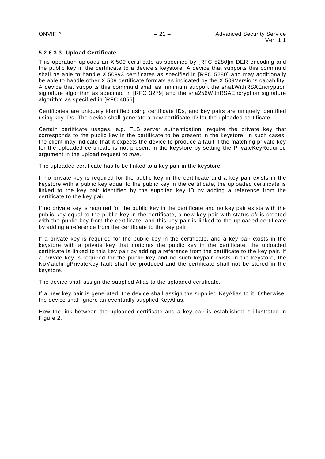## **5.2.6.3.3 Upload Certificate**

This operation uploads an X.509 certificate as specified by [RFC 5280]in DER encoding and the public key in the certificate to a device's keystore. A device that supports this command shall be able to handle X.509v3 certificates as specified in [RFC 5280] and may additionally be able to handle other X.509 certificate formats as indicated by the X.509Versions capability. A device that supports this command shall as minimum support the sha1WithRSAEncryption signature algorithm as specified in [RFC 3279] and the sha256WithRSAEncryption signature algorithm as specified in [RFC 4055].

Certificates are uniquely identified using certificate IDs, and key pairs are uniquely identified using key IDs. The device shall generate a new certificate ID for the uploaded certificate.

Certain certificate usages, e.g. TLS server authentication, require the private key that corresponds to the public key in the certificate to be present in the keystore. In such cases, the client may indicate that it expects the device to produce a fault if the matching private key for the uploaded certificate is not present in the keystore by setting the PrivateKeyRequired argument in the upload request to *true*.

The uploaded certificate has to be linked to a key pair in the keystore.

If no private key is required for the public key in the certificate and a key pair exists in the keystore with a public key equal to the public key in the certificate, the uploaded certificate is linked to the key pair identified by the supplied key ID by adding a reference from the certificate to the key pair.

If no private key is required for the public key in the certificate and no key pair exists with the public key equal to the public key in the certificate, a new key pair with status *ok* is created with the public key from the certificate, and this key pair is linked to the uploaded certificate by adding a reference from the certificate to the key pair.

If a private key is required for the public key in the certificate, and a key pair exists in the keystore with a private key that matches the public key in the certificate, the uploaded certificate is linked to this key pair by adding a reference from the certificate to the key pair. If a private key is required for the public key and no such keypair exists in the keystore, the NoMatchingPrivateKey fault shall be produced and the certificate shall not be stored in the keystore.

The device shall assign the supplied Alias to the uploaded certificate.

If a new key pair is generated, the device shall assign the supplied KeyAlias to it. Otherwise, the device shall ignore an eventually supplied KeyAlias.

How the link between the uploaded certificate and a key pair is established is illustrated in [Figure 2.](#page-21-0)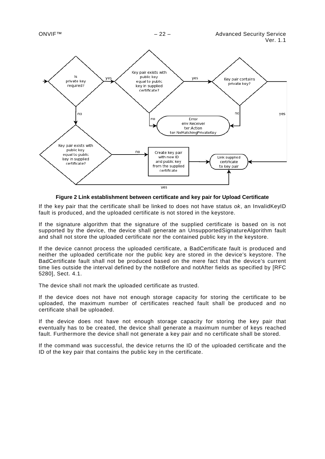

**Figure 2 Link establishment between certificate and key pair for Upload Certificate**

<span id="page-21-0"></span>If the key pair that the certificate shall be linked to does not have status *ok*, an InvalidKeyID fault is produced, and the uploaded certificate is not stored in the keystore.

If the signature algorithm that the signature of the supplied certificate is based on is not supported by the device, the device shall generate an UnsupportedSignatureAlgorithm fault and shall not store the uploaded certificate nor the contained public key in the keystore.

If the device cannot process the uploaded certificate, a BadCertificate fault is produced and neither the uploaded certificate nor the public key are stored in the device's keystore. The BadCertificate fault shall not be produced based on the mere fact that the device's current time lies outside the interval defined by the notBefore and notAfter fields as specified by [RFC 5280], Sect. 4.1.

The device shall not mark the uploaded certificate as trusted.

If the device does not have not enough storage capacity for storing the certificate to be uploaded, the maximum number of certificates reached fault shall be produced and no certificate shall be uploaded.

If the device does not have not enough storage capacity for storing the key pair that eventually has to be created, the device shall generate a maximum number of keys reached fault. Furthermore the device shall not generate a key pair and no certificate shall be stored.

If the command was successful, the device returns the ID of the uploaded certificate and the ID of the key pair that contains the public key in the certificate.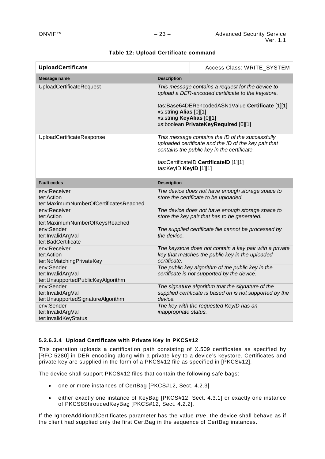| <b>UploadCertificate</b>                                             |                                                     | Access Class: WRITE_SYSTEM                                                                                                                                                                         |
|----------------------------------------------------------------------|-----------------------------------------------------|----------------------------------------------------------------------------------------------------------------------------------------------------------------------------------------------------|
| <b>Message name</b>                                                  | <b>Description</b>                                  |                                                                                                                                                                                                    |
| <b>UploadCertificateRequest</b>                                      | xs:string Alias [0][1]<br>xs:string KeyAlias [0][1] | This message contains a request for the device to<br>upload a DER-encoded certificate to the keystore.<br>tas:Base64DERencodedASN1Value Certificate [1][1]<br>xs:boolean PrivateKeyRequired [0][1] |
| UploadCertificateResponse                                            | tas:KeylD KeylD [1][1]                              | This message contains the ID of the successfully<br>uploaded certificate and the ID of the key pair that<br>contains the public key in the certificate.<br>tas:CertificateID CertificateID [1][1]  |
| <b>Fault codes</b>                                                   | <b>Description</b>                                  |                                                                                                                                                                                                    |
| env:Receiver<br>ter:Action<br>ter:MaximumNumberOfCertificatesReached |                                                     | The device does not have enough storage space to<br>store the certificate to be uploaded.                                                                                                          |
| env:Receiver<br>ter:Action<br>ter:MaximumNumberOfKeysReached         |                                                     | The device does not have enough storage space to<br>store the key pair that has to be generated.                                                                                                   |
| env:Sender<br>ter:InvalidArgVal<br>ter:BadCertificate                | the device.                                         | The supplied certificate file cannot be processed by                                                                                                                                               |
| env:Receiver<br>ter:Action<br>ter:NoMatchingPrivateKey               | certificate.                                        | The keystore does not contain a key pair with a private<br>key that matches the public key in the uploaded                                                                                         |
| env:Sender<br>ter:InvalidArgVal<br>ter:UnsupportedPublicKeyAlgorithm |                                                     | The public key algorithm of the public key in the<br>certificate is not supported by the device.                                                                                                   |
| env:Sender<br>ter:InvalidArgVal<br>ter:UnsupportedSignatureAlgorithm | device.                                             | The signature algorithm that the signature of the<br>supplied certificate is based on is not supported by the                                                                                      |
| env:Sender<br>ter:InvalidArgVal<br>ter:InvalidKeyStatus              | inappropriate status.                               | The key with the requested KeylD has an                                                                                                                                                            |

## **Table 12: Upload Certificate command**

## **5.2.6.3.4 Upload Certificate with Private Key in PKCS#12**

This operation uploads a certification path consisting of X.509 certificates as specified by [RFC 5280] in DER encoding along with a private key to a device's keystore. Certificates and private key are supplied in the form of a PKCS#12 file as specified in [PKCS#12].

The device shall support PKCS#12 files that contain the following safe bags:

- one or more instances of CertBag [PKCS#12, Sect. 4.2.3]
- either exactly one instance of KeyBag [PKCS#12, Sect. 4.3.1] or exactly one instance of PKCS8ShroudedKeyBag [PKCS#12, Sect. 4.2.2].

If the IgnoreAdditionalCertificates parameter has the value *true*, the device shall behave as if the client had supplied only the first CertBag in the sequence of CertBag instances.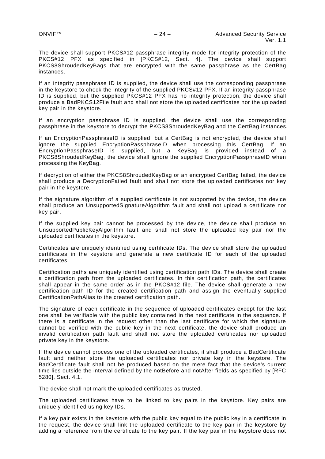The device shall support PKCS#12 passphrase integrity mode for integrity protection of the PKCS#12 PFX as specified in [PKCS#12, Sect. 4]. The device shall support PKCS8ShroudedKeyBags that are encrypted with the same passphrase as the CertBag instances.

If an integrity passphrase ID is supplied, the device shall use the corresponding passphrase in the keystore to check the integrity of the supplied PKCS#12 PFX. If an integrity passphrase ID is supplied, but the supplied PKCS#12 PFX has no integrity protection, the device shall produce a BadPKCS12File fault and shall not store the uploaded certificates nor the uploaded key pair in the keystore.

If an encryption passphrase ID is supplied, the device shall use the corresponding passphrase in the keystore to decrypt the PKCS8ShroudedKeyBag and the CertBag instances.

If an EncryptionPassphraseID is supplied, but a CertBag is not encrypted, the device shall ignore the supplied EncryptionPassphraseID when processing this CertBag. If an EncryptionPassphraseID is supplied, but a KeyBag is provided instead of a PKCS8ShroudedKeyBag, the device shall ignore the supplied EncryptionPassphraseID when processing the KeyBag.

If decryption of either the PKCS8ShroudedKeyBag or an encrypted CertBag failed, the device shall produce a DecryptionFailed fault and shall not store the uploaded certificates nor key pair in the keystore.

If the signature algorithm of a supplied certificate is not supported by the device, the device shall produce an UnsupportedSignatureAlgorithm fault and shall not upload a certificate nor key pair.

If the supplied key pair cannot be processed by the device, the device shall produce an UnsupportedPublicKeyAlgorithm fault and shall not store the uploaded key pair nor the uploaded certificates in the keystore.

Certificates are uniquely identified using certificate IDs. The device shall store the uploaded certificates in the keystore and generate a new certificate ID for each of the uploaded certificates.

Certification paths are uniquely identified using certification path IDs. The device shall create a certification path from the uploaded certificates. In this certification path, the certificates shall appear in the same order as in the PKCS#12 file. The device shall generate a new certification path ID for the created certification path and assign the eventually supplied CertificationPathAlias to the created certification path.

The signature of each certificate in the sequence of uploaded certificates except for the last one shall be verifiable with the public key contained in the next certificate in the sequence. If there is a certificate in the request other than the last certificate for which the signature cannot be verified with the public key in the next certificate, the device shall produce an invalid certification path fault and shall not store the uploaded certificates nor uploaded private key in the keystore.

If the device cannot process one of the uploaded certificates, it shall produce a BadCertificate fault and neither store the uploaded certificates nor private key in the keystore. The BadCertificate fault shall not be produced based on the mere fact that the device's current time lies outside the interval defined by the notBefore and notAfter fields as specified by [RFC 5280], Sect. 4.1.

The device shall not mark the uploaded certificates as trusted.

The uploaded certificates have to be linked to key pairs in the keystore. Key pairs are uniquely identified using key IDs.

If a key pair exists in the keystore with the public key equal to the public key in a certificate in the request, the device shall link the uploaded certificate to the key pair in the keystore by adding a reference from the certificate to the key pair. If the key pair in the keystore does not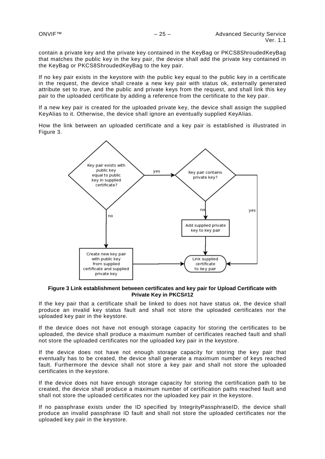contain a private key and the private key contained in the KeyBag or PKCS8ShroudedKeyBag that matches the public key in the key pair, the device shall add the private key contained in the KeyBag or PKCS8ShroudedKeyBag to the key pair.

If no key pair exists in the keystore with the public key equal to the public key in a certificate in the request, the device shall create a new key pair with status ok, externally generated attribute set to *true*, and the public and private keys from the request, and shall link this key pair to the uploaded certificate by adding a reference from the certificate to the key pair.

If a new key pair is created for the uploaded private key, the device shall assign the supplied KeyAlias to it. Otherwise, the device shall ignore an eventually supplied KeyAlias.

How the link between an uploaded certificate and a key pair is established is illustrated in [Figure 3.](#page-24-0)



<span id="page-24-0"></span>**Figure 3 Link establishment between certificates and key pair for Upload Certificate with Private Key in PKCS#12**

If the key pair that a certificate shall be linked to does not have status *ok*, the device shall produce an invalid key status fault and shall not store the uploaded certificates nor the uploaded key pair in the keystore.

If the device does not have not enough storage capacity for storing the certificates to be uploaded, the device shall produce a maximum number of certificates reached fault and shall not store the uploaded certificates nor the uploaded key pair in the keystore.

If the device does not have not enough storage capacity for storing the key pair that eventually has to be created, the device shall generate a maximum number of keys reached fault. Furthermore the device shall not store a key pair and shall not store the uploaded certificates in the keystore.

If the device does not have enough storage capacity for storing the certification path to be created, the device shall produce a maximum number of certification paths reached fault and shall not store the uploaded certificates nor the uploaded key pair in the keystore.

If no passphrase exists under the ID specified by IntegrityPassphraseID, the device shall produce an invalid passphrase ID fault and shall not store the uploaded certificates nor the uploaded key pair in the keystore.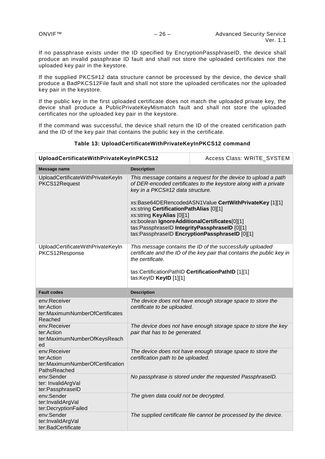If no passphrase exists under the ID specified by EncryptionPassphraseID, the device shall produce an invalid passphrase ID fault and shall not store the uploaded certificates nor the uploaded key pair in the keystore.

If the supplied PKCS#12 data structure cannot be processed by the device, the device shall produce a BadPKCS12File fault and shall not store the uploaded certificates nor the uploaded key pair in the keystore.

If the public key in the first uploaded certificate does not match the uploaded private key, the device shall produce a PublicPrivateKeyMismatch fault and shall not store the uploaded certificates nor the uploaded key pair in the keystore.

If the command was successful, the device shall return the ID of the created certification path and the ID of the key pair that contains the public key in the certificate.

| UploadCertificateWithPrivateKeyInPKCS12                                        |                                                                                                                                                                                                                                                                                                                                                                                                                                                               | Access Class: WRITE_SYSTEM                                                                                                          |
|--------------------------------------------------------------------------------|---------------------------------------------------------------------------------------------------------------------------------------------------------------------------------------------------------------------------------------------------------------------------------------------------------------------------------------------------------------------------------------------------------------------------------------------------------------|-------------------------------------------------------------------------------------------------------------------------------------|
| Message name                                                                   | <b>Description</b>                                                                                                                                                                                                                                                                                                                                                                                                                                            |                                                                                                                                     |
| UploadCertificateWithPrivateKeyIn<br>PKCS12Request                             | This message contains a request for the device to upload a path<br>of DER-encoded certificates to the keystore along with a private<br>key in a PKCS#12 data structure.<br>xs:Base64DERencodedASN1Value CertWithPrivateKey [1][1]<br>xs:string CertificationPathAlias [0][1]<br>xs:string KeyAlias [0][1]<br>xs:boolean IgnoreAdditionalCertificates[0][1]<br>tas:PassphraseID IntegrityPassphraseID [0][1]<br>tas:PassphraseID EncryptionPassphraseID [0][1] |                                                                                                                                     |
| UploadCertificateWithPrivateKeyIn<br>PKCS12Response                            | the certificate.<br>tas:CertificationPathID CertificationPathID [1][1]<br>tas:KeylD KeylD [1][1]                                                                                                                                                                                                                                                                                                                                                              | This message contains the ID of the successfully uploaded<br>certificate and the ID of the key pair that contains the public key in |
| <b>Fault codes</b>                                                             | <b>Description</b>                                                                                                                                                                                                                                                                                                                                                                                                                                            |                                                                                                                                     |
| env:Receiver<br>ter:Action<br>ter:MaximumNumberOfCertificates<br>Reached       | certificate to be uploaded.                                                                                                                                                                                                                                                                                                                                                                                                                                   | The device does not have enough storage space to store the                                                                          |
| env:Receiver<br>ter:Action<br>ter:MaximumNumberOfKeysReach<br>ed               | pair that has to be generated.                                                                                                                                                                                                                                                                                                                                                                                                                                | The device does not have enough storage space to store the key                                                                      |
| env:Receiver<br>ter:Action<br>ter:MaximumNumberOfCertification<br>PathsReached | certification path to be uploaded.                                                                                                                                                                                                                                                                                                                                                                                                                            | The device does not have enough storage space to store the                                                                          |
| env:Sender<br>ter: InvalidArgVal<br>ter:PassphraseID                           |                                                                                                                                                                                                                                                                                                                                                                                                                                                               | No passphrase is stored under the requested PassphraseID.                                                                           |
| env:Sender<br>ter:InvalidArgVal<br>ter:DecryptionFailed                        | The given data could not be decrypted.                                                                                                                                                                                                                                                                                                                                                                                                                        |                                                                                                                                     |
| env:Sender<br>ter:InvalidArgVal<br>ter:BadCertificate                          |                                                                                                                                                                                                                                                                                                                                                                                                                                                               | The supplied certificate file cannot be processed by the device.                                                                    |

**Table 13: UploadCertificateWithPrivateKeyInPKCS12 command**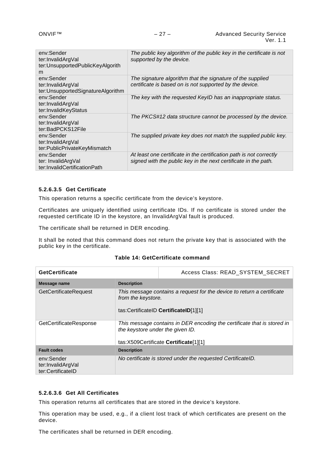| env:Sender<br>ter:InvalidArgVal<br>ter:UnsupportedPublicKeyAlgorith<br>m | The public key algorithm of the public key in the certificate is not<br>supported by the device.                                       |
|--------------------------------------------------------------------------|----------------------------------------------------------------------------------------------------------------------------------------|
| env:Sender<br>ter:InvalidArgVal<br>ter: Unsupported Signature Algorithm  | The signature algorithm that the signature of the supplied<br>certificate is based on is not supported by the device.                  |
| env:Sender<br>ter:InvalidArgVal<br>ter:InvalidKeyStatus                  | The key with the requested KeyID has an inappropriate status.                                                                          |
| env:Sender<br>ter:InvalidArgVal<br>ter:BadPCKS12File                     | The PKCS#12 data structure cannot be processed by the device.                                                                          |
| env:Sender<br>ter:InvalidArgVal<br>ter:PublicPrivateKeyMismatch          | The supplied private key does not match the supplied public key.                                                                       |
| env:Sender<br>ter: InvalidArgVal<br>ter:InvalidCertificationPath         | At least one certificate in the certification path is not correctly<br>signed with the public key in the next certificate in the path. |

## **5.2.6.3.5 Get Certificate**

This operation returns a specific certificate from the device's keystore.

Certificates are uniquely identified using certificate IDs. If no certificate is stored under the requested certificate ID in the keystore, an InvalidArgVal fault is produced.

The certificate shall be returned in DER encoding.

It shall be noted that this command does not return the private key that is associated with the public key in the certificate.

#### **Table 14: GetCertificate command**

| <b>GetCertificate</b>                                |                                  | Access Class: READ_SYSTEM_SECRET                                                                                 |
|------------------------------------------------------|----------------------------------|------------------------------------------------------------------------------------------------------------------|
| Message name                                         | <b>Description</b>               |                                                                                                                  |
| <b>GetCertificateRequest</b>                         | from the keystore.               | This message contains a request for the device to return a certificate<br>tas:CertificateID CertificateID[1][1]  |
| GetCertificateResponse                               | the keystore under the given ID. | This message contains in DER encoding the certificate that is stored in<br>tas:X509Certificate Certificate[1][1] |
| <b>Fault codes</b>                                   | <b>Description</b>               |                                                                                                                  |
| env:Sender<br>ter:InvalidArgVal<br>ter:CertificateID |                                  | No certificate is stored under the requested CertificateID.                                                      |

## **5.2.6.3.6 Get All Certificates**

This operation returns all certificates that are stored in the device's keystore.

This operation may be used, e.g., if a client lost track of which certificates are present on the device.

The certificates shall be returned in DER encoding.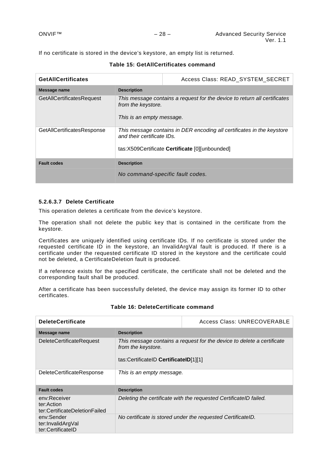If no certificate is stored in the device's keystore, an empty list is returned.

| <b>GetAIICertificates</b>        |                                                 | Access Class: READ_SYSTEM_SECRET                                                                                         |
|----------------------------------|-------------------------------------------------|--------------------------------------------------------------------------------------------------------------------------|
| Message name                     | <b>Description</b>                              |                                                                                                                          |
| <b>GetAllCertificatesRequest</b> | from the keystore.<br>This is an empty message. | This message contains a request for the device to return all certificates                                                |
| GetAllCertificatesResponse       | and their certificate IDs.                      | This message contains in DER encoding all certificates in the keystore<br>tas:X509Certificate Certificate [0][unbounded] |
| <b>Fault codes</b>               | <b>Description</b>                              |                                                                                                                          |
|                                  | No command-specific fault codes.                |                                                                                                                          |

## **Table 15: GetAllCertificates command**

## **5.2.6.3.7 Delete Certificate**

This operation deletes a certificate from the device's keystore.

The operation shall not delete the public key that is contained in the certificate from the keystore.

Certificates are uniquely identified using certificate IDs. If no certificate is stored under the requested certificate ID in the keystore, an InvalidArgVal fault is produced. If there is a certificate under the requested certificate ID stored in the keystore and the certificate could not be deleted, a CertificateDeletion fault is produced.

If a reference exists for the specified certificate, the certificate shall not be deleted and the corresponding fault shall be produced.

After a certificate has been successfully deleted, the device may assign its former ID to other certificates.

## **Table 16: DeleteCertificate command**

| <b>DeleteCertificate</b>                                    |                                                                                                                                       | Access Class: UNRECOVERABLE                                       |
|-------------------------------------------------------------|---------------------------------------------------------------------------------------------------------------------------------------|-------------------------------------------------------------------|
| Message name                                                | <b>Description</b>                                                                                                                    |                                                                   |
| <b>DeleteCertificateRequest</b>                             | This message contains a request for the device to delete a certificate<br>from the keystore.<br>tas:CertificateID CertificateID[1][1] |                                                                   |
| DeleteCertificateResponse                                   | This is an empty message.                                                                                                             |                                                                   |
| <b>Fault codes</b>                                          | <b>Description</b>                                                                                                                    |                                                                   |
| env:Receiver<br>ter:Action<br>ter:CertificateDeletionFailed |                                                                                                                                       | Deleting the certificate with the requested CertificateID failed. |
| env:Sender<br>ter:InvalidArgVal<br>ter:CertificateID        |                                                                                                                                       | No certificate is stored under the requested CertificateID.       |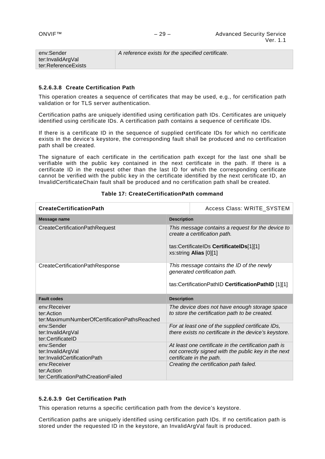| env:Sender            | A reference exists for the specified certificate. |
|-----------------------|---------------------------------------------------|
| ter:InvalidArgVal     |                                                   |
| ter:ReferenceExists ∖ |                                                   |
|                       |                                                   |

## **5.2.6.3.8 Create Certification Path**

This operation creates a sequence of certificates that may be used, e.g., for certification path validation or for TLS server authentication.

Certification paths are uniquely identified using certification path IDs. Certificates are uniquely identified using certificate IDs. A certification path contains a sequence of certificate IDs.

If there is a certificate ID in the sequence of supplied certificate IDs for which no certificate exists in the device's keystore, the corresponding fault shall be produced and no certification path shall be created.

The signature of each certificate in the certification path except for the last one shall be verifiable with the public key contained in the next certificate in the path. If there is a certificate ID in the request other than the last ID for which the corresponding certificate cannot be verified with the public key in the certificate identified by the next certificate ID, an InvalidCertificateChain fault shall be produced and no certification path shall be created.

| <b>CreateCertificationPath</b>                                             |                    | Access Class: WRITE_SYSTEM                                                                                                                             |
|----------------------------------------------------------------------------|--------------------|--------------------------------------------------------------------------------------------------------------------------------------------------------|
| Message name                                                               | <b>Description</b> |                                                                                                                                                        |
| CreateCertificationPathRequest                                             |                    | This message contains a request for the device to<br>create a certification path.<br>tas:CertificateIDs CertificateIDs[1][1]<br>xs:string Alias [0][1] |
| CreateCertificationPathResponse                                            |                    | This message contains the ID of the newly<br>generated certification path.<br>tas:CertificationPathID CertificationPathID [1][1]                       |
|                                                                            |                    |                                                                                                                                                        |
| <b>Fault codes</b>                                                         | <b>Description</b> |                                                                                                                                                        |
| env:Receiver<br>ter:Action<br>ter:MaximumNumberOfCertificationPathsReached |                    | The device does not have enough storage space<br>to store the certification path to be created.                                                        |
| env:Sender<br>ter:InvalidArgVal<br>ter:CertificateID                       |                    | For at least one of the supplied certificate IDs,<br>there exists no certificate in the device's keystore.                                             |
| env:Sender<br>ter:InvalidArgVal<br>ter:InvalidCertificationPath            |                    | At least one certificate in the certification path is<br>not correctly signed with the public key in the next<br>certificate in the path.              |

## **Table 17: CreateCertificationPath command**

#### **5.2.6.3.9 Get Certification Path**

This operation returns a specific certification path from the device's keystore.

Certification paths are uniquely identified using certification path IDs. If no certification path is stored under the requested ID in the keystore, an InvalidArgVal fault is produced.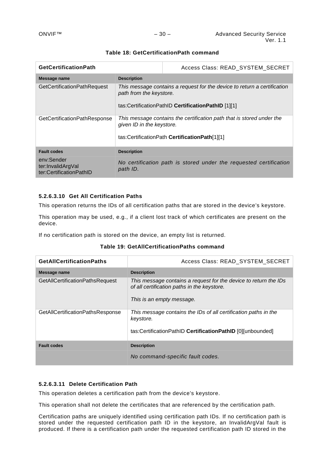| <b>GetCertificationPath</b>                                |                                                                                                                                                           | Access Class: READ_SYSTEM_SECRET                                  |
|------------------------------------------------------------|-----------------------------------------------------------------------------------------------------------------------------------------------------------|-------------------------------------------------------------------|
| Message name                                               | <b>Description</b>                                                                                                                                        |                                                                   |
| <b>GetCertificationPathRequest</b>                         | This message contains a request for the device to return a certification<br>path from the keystore.<br>tas:CertificationPathID CertificationPathID [1][1] |                                                                   |
| GetCertificationPathResponse                               | This message contains the certification path that is stored under the<br>given ID in the keystore.<br>tas:CertificationPath CertificationPath[1][1]       |                                                                   |
| <b>Fault codes</b>                                         | <b>Description</b>                                                                                                                                        |                                                                   |
| env:Sender<br>ter:InvalidArgVal<br>ter:CertificationPathID | path ID.                                                                                                                                                  | No certification path is stored under the requested certification |

## **Table 18: GetCertificationPath command**

## **5.2.6.3.10 Get All Certification Paths**

This operation returns the IDs of all certification paths that are stored in the device's keystore.

This operation may be used, e.g., if a client lost track of which certificates are present on the device.

If no certification path is stored on the device, an empty list is returned.

|  | Table 19: GetAllCertificationPaths command |  |
|--|--------------------------------------------|--|
|--|--------------------------------------------|--|

| <b>GetAIICertificationPaths</b>        | Access Class: READ_SYSTEM_SECRET                                                                                                             |
|----------------------------------------|----------------------------------------------------------------------------------------------------------------------------------------------|
| Message name                           | <b>Description</b>                                                                                                                           |
| <b>GetAllCertificationPathsRequest</b> | This message contains a request for the device to return the IDs<br>of all certification paths in the keystore.<br>This is an empty message. |
| GetAllCertificationPathsResponse       | This message contains the IDs of all certification paths in the<br>keystore.<br>tas:CertificationPathID CertificationPathID [0][unbounded]   |
| <b>Fault codes</b>                     | <b>Description</b>                                                                                                                           |
|                                        | No command-specific fault codes.                                                                                                             |

## **5.2.6.3.11 Delete Certification Path**

This operation deletes a certification path from the device's keystore.

This operation shall not delete the certificates that are referenced by the certification path.

Certification paths are uniquely identified using certification path IDs. If no certification path is stored under the requested certification path ID in the keystore, an InvalidArgVal fault is produced. If there is a certification path under the requested certification path ID stored in the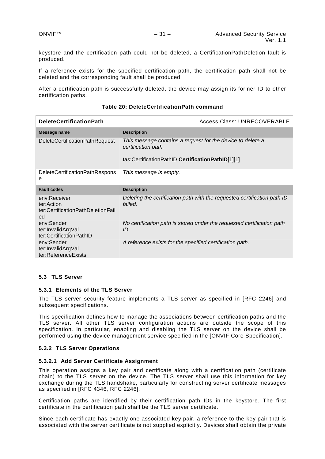keystore and the certification path could not be deleted, a CertificationPathDeletion fault is produced.

If a reference exists for the specified certification path, the certification path shall not be deleted and the corresponding fault shall be produced.

After a certification path is successfully deleted, the device may assign its former ID to other certification paths.

| <b>DeleteCertificationPath</b>                                        |                        | Access Class: UNRECOVERABLE                                                                                     |
|-----------------------------------------------------------------------|------------------------|-----------------------------------------------------------------------------------------------------------------|
| Message name                                                          | <b>Description</b>     |                                                                                                                 |
| <b>DeleteCertificationPathRequest</b>                                 | certification path.    | This message contains a request for the device to delete a<br>tas:CertificationPathID CertificationPathID[1][1] |
| DeleteCertificationPathRespons<br>е                                   | This message is empty. |                                                                                                                 |
| <b>Fault codes</b>                                                    | <b>Description</b>     |                                                                                                                 |
| env:Receiver<br>ter:Action<br>ter:CertificationPathDeletionFail<br>ed | failed.                | Deleting the certification path with the requested certification path ID                                        |
| env:Sender<br>ter:InvalidArgVal<br>ter:CertificationPathID            | ID.                    | No certification path is stored under the requested certification path                                          |
| env:Sender<br>ter:InvalidArgVal<br>ter:ReferenceExists                |                        | A reference exists for the specified certification path.                                                        |

#### **Table 20: DeleteCertificationPath command**

#### <span id="page-30-0"></span>**5.3 TLS Server**

#### <span id="page-30-1"></span>**5.3.1 Elements of the TLS Server**

The TLS server security feature implements a TLS server as specified in [RFC 2246] and subsequent specifications.

This specification defines how to manage the associations between certification paths and the TLS server. All other TLS server configuration actions are outside the scope of this specification. In particular, enabling and disabling the TLS server on the device shall be performed using the device management service specified in the [ONVIF Core Specification].

#### <span id="page-30-2"></span>**5.3.2 TLS Server Operations**

#### **5.3.2.1 Add Server Certificate Assignment**

This operation assigns a key pair and certificate along with a certification path (certificate chain) to the TLS server on the device. The TLS server shall use this information for key exchange during the TLS handshake, particularly for constructing server certificate messages as specified in [RFC 4346, RFC 2246].

Certification paths are identified by their certification path IDs in the keystore. The first certificate in the certification path shall be the TLS server certificate.

Since each certificate has exactly one associated key pair, a reference to the key pair that is associated with the server certificate is not supplied explicitly. Devices shall obtain the private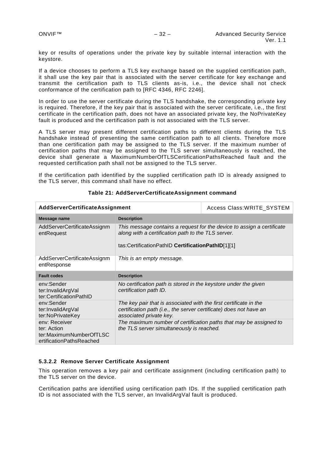key or results of operations under the private key by suitable internal interaction with the keystore.

If a device chooses to perform a TLS key exchange based on the supplied certification path, it shall use the key pair that is associated with the server certificate for key exchange and transmit the certification path to TLS clients as-is, i.e., the device shall not check conformance of the certification path to [RFC 4346, RFC 2246].

In order to use the server certificate during the TLS handshake, the corresponding private key is required. Therefore, if the key pair that is associated with the server certificate, i.e., the first certificate in the certification path, does not have an associated private key, the NoPrivateKey fault is produced and the certification path is not associated with the TLS server.

A TLS server may present different certification paths to different clients during the TLS handshake instead of presenting the same certification path to all clients. Therefore more than one certification path may be assigned to the TLS server. If the maximum number of certification paths that may be assigned to the TLS server simultaneously is reached, the device shall generate a MaximumNumberOfTLSCertificationPathsReached fault and the requested certification path shall not be assigned to the TLS server.

If the certification path identified by the supplied certification path ID is already assigned to the TLS server, this command shall have no effect.

| AddServerCertificateAssignment                                                      |                                                                                                                                                                                   | Access Class: WRITE_SYSTEM |
|-------------------------------------------------------------------------------------|-----------------------------------------------------------------------------------------------------------------------------------------------------------------------------------|----------------------------|
| Message name                                                                        | <b>Description</b>                                                                                                                                                                |                            |
| AddServerCertificateAssignm<br>entRequest                                           | This message contains a request for the device to assign a certificate<br>along with a certification path to the TLS server.<br>tas:CertificationPathID CertificationPathID[1][1] |                            |
| AddServerCertificateAssignm<br>entResponse                                          | This is an empty message.                                                                                                                                                         |                            |
| <b>Fault codes</b>                                                                  | <b>Description</b>                                                                                                                                                                |                            |
| env:Sender<br>ter:InvalidArgVal<br>ter:CertificationPathID                          | No certification path is stored in the keystore under the given<br>certification path ID.                                                                                         |                            |
| env:Sender<br>ter:InvalidArgVal<br>ter:NoPrivateKey                                 | The key pair that is associated with the first certificate in the<br>certification path (i.e., the server certificate) does not have an<br>associated private key.                |                            |
| env: Receiver<br>ter: Action<br>ter:MaximumNumberOfTLSC<br>ertificationPathsReached | The maximum number of certification paths that may be assigned to<br>the TLS server simultaneously is reached.                                                                    |                            |

## **Table 21: AddServerCertificateAssignment command**

## **5.3.2.2 Remove Server Certificate Assignment**

This operation removes a key pair and certificate assignment (including certification path) to the TLS server on the device.

Certification paths are identified using certification path IDs. If the supplied certification path ID is not associated with the TLS server, an InvalidArgVal fault is produced.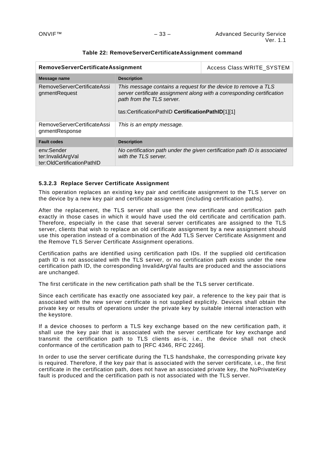| <b>RemoveServerCertificateAssignment</b>                      |                                                                                                                                                                                                                            | Access Class: WRITE SYSTEM                                                |
|---------------------------------------------------------------|----------------------------------------------------------------------------------------------------------------------------------------------------------------------------------------------------------------------------|---------------------------------------------------------------------------|
| Message name                                                  | <b>Description</b>                                                                                                                                                                                                         |                                                                           |
| RemoveServerCertificateAssi<br>gnmentRequest                  | This message contains a request for the device to remove a TLS<br>server certificate assignment along with a corresponding certification<br>path from the TLS server.<br>tas:CertificationPathID CertificationPathID[1][1] |                                                                           |
| RemoveServerCertificateAssi<br>gnmentResponse                 | This is an empty message.                                                                                                                                                                                                  |                                                                           |
| <b>Fault codes</b>                                            | <b>Description</b>                                                                                                                                                                                                         |                                                                           |
| env:Sender<br>ter:InvalidArgVal<br>ter:OldCertificationPathID | with the TLS server.                                                                                                                                                                                                       | No certification path under the given certification path ID is associated |

## **Table 22: RemoveServerCertificateAssignment command**

## **5.3.2.3 Replace Server Certificate Assignment**

This operation replaces an existing key pair and certificate assignment to the TLS server on the device by a new key pair and certificate assignment (including certification paths).

After the replacement, the TLS server shall use the new certificate and certification path exactly in those cases in which it would have used the old certificate and certification path. Therefore, especially in the case that several server certificates are assigned to the TLS server, clients that wish to replace an old certificate assignment by a new assignment should use this operation instead of a combination of the Add TLS Server Certificate Assignment and the Remove TLS Server Certificate Assignment operations.

Certification paths are identified using certification path IDs. If the supplied old certification path ID is not associated with the TLS server, or no certification path exists under the new certification path ID, the corresponding InvalidArgVal faults are produced and the associations are unchanged.

The first certificate in the new certification path shall be the TLS server certificate.

Since each certificate has exactly one associated key pair, a reference to the key pair that is associated with the new server certificate is not supplied explicitly. Devices shall obtain the private key or results of operations under the private key by suitable internal interaction with the keystore.

If a device chooses to perform a TLS key exchange based on the new certification path, it shall use the key pair that is associated with the server certificate for key exchange and transmit the certification path to TLS clients as-is, i.e., the device shall not check conformance of the certification path to [RFC 4346, RFC 2246].

In order to use the server certificate during the TLS handshake, the corresponding private key is required. Therefore, if the key pair that is associated with the server certificate, i.e., the first certificate in the certification path, does not have an associated private key, the NoPrivateKey fault is produced and the certification path is not associated with the TLS server.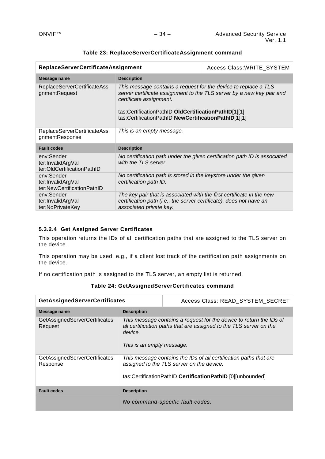| <b>ReplaceServerCertificateAssignment</b>                     |                                                                                                                                                                                                                                                                                     | Access Class: WRITE_SYSTEM                                                |
|---------------------------------------------------------------|-------------------------------------------------------------------------------------------------------------------------------------------------------------------------------------------------------------------------------------------------------------------------------------|---------------------------------------------------------------------------|
| Message name                                                  | <b>Description</b>                                                                                                                                                                                                                                                                  |                                                                           |
| ReplaceServerCertificateAssi<br>gnmentRequest                 | This message contains a request for the device to replace a TLS<br>server certificate assignment to the TLS server by a new key pair and<br>certificate assignment.<br>tas:CertificationPathID OldCertificationPathID[1][1]<br>tas:CertificationPathID NewCertificationPathID[1][1] |                                                                           |
| ReplaceServerCertificateAssi<br>gnmentResponse                | This is an empty message.                                                                                                                                                                                                                                                           |                                                                           |
| <b>Fault codes</b>                                            | <b>Description</b>                                                                                                                                                                                                                                                                  |                                                                           |
| env:Sender<br>ter:InvalidArgVal<br>ter:OldCertificationPathID | with the TLS server.                                                                                                                                                                                                                                                                | No certification path under the given certification path ID is associated |
| env:Sender<br>ter:InvalidArgVal<br>ter:NewCertificationPathID | No certification path is stored in the keystore under the given<br>certification path ID.                                                                                                                                                                                           |                                                                           |
| env:Sender<br>ter:InvalidArgVal<br>ter:NoPrivateKey           | The key pair that is associated with the first certificate in the new<br>certification path (i.e., the server certificate), does not have an<br>associated private key.                                                                                                             |                                                                           |

## **Table 23: ReplaceServerCertificateAssignment command**

## **5.3.2.4 Get Assigned Server Certificates**

This operation returns the IDs of all certification paths that are assigned to the TLS server on the device.

This operation may be used, e.g., if a client lost track of the certification path assignments on the device.

If no certification path is assigned to the TLS server, an empty list is returned.

| <b>GetAssignedServerCertificates</b>      |                                                                                                                                                                                   | Access Class: READ SYSTEM SECRET |
|-------------------------------------------|-----------------------------------------------------------------------------------------------------------------------------------------------------------------------------------|----------------------------------|
| Message name                              | <b>Description</b>                                                                                                                                                                |                                  |
| GetAssignedServerCertificates<br>Request  | This message contains a request for the device to return the IDs of<br>all certification paths that are assigned to the TLS server on the<br>device.<br>This is an empty message. |                                  |
| GetAssignedServerCertificates<br>Response | This message contains the IDs of all certification paths that are<br>assigned to the TLS server on the device.<br>tas:CertificationPathID CertificationPathID [0][unbounded]      |                                  |
| <b>Fault codes</b>                        | <b>Description</b>                                                                                                                                                                |                                  |
|                                           | No command-specific fault codes.                                                                                                                                                  |                                  |

**Table 24: GetAssignedServerCertificates command**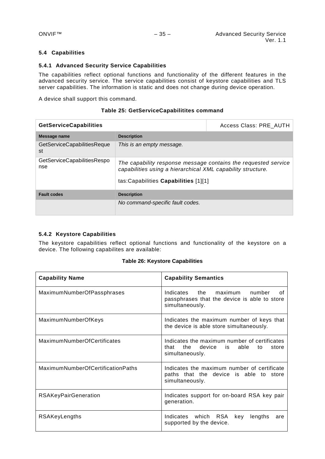## <span id="page-34-0"></span>**5.4 Capabilities**

## <span id="page-34-1"></span>**5.4.1 Advanced Security Service Capabilities**

The capabilities reflect optional functions and functionality of the different features in the advanced security service. The service capabilities consist of keystore capabilities and TLS server capabilities. The information is static and does not change during device operation.

A device shall support this command.

| <b>GetServiceCapabilities</b>             |                                                                                                                                                                        | Access Class: PRE AUTH |
|-------------------------------------------|------------------------------------------------------------------------------------------------------------------------------------------------------------------------|------------------------|
| Message name                              | <b>Description</b>                                                                                                                                                     |                        |
| GetServiceCapabilitiesReque<br>st         | This is an empty message.                                                                                                                                              |                        |
| <b>GetServiceCapabilitiesRespo</b><br>nse | The capability response message contains the requested service<br>capabilities using a hierarchical XML capability structure.<br>tas: Capabilities Capabilities [1][1] |                        |
| <b>Fault codes</b>                        | <b>Description</b>                                                                                                                                                     |                        |
|                                           | No command-specific fault codes.                                                                                                                                       |                        |

## **Table 25: GetServiceCapabilitites command**

## <span id="page-34-2"></span>**5.4.2 Keystore Capabilities**

The keystore capabilities reflect optional functions and functionality of the keystore on a device. The following capabilites are available:

## **Table 26: Keystore Capabilities**

| <b>Capability Name</b>            | <b>Capability Semantics</b>                                                                                  |
|-----------------------------------|--------------------------------------------------------------------------------------------------------------|
| MaximumNumberOfPassphrases        | the maximum number<br>Indicates<br>Ωf<br>passphrases that the device is able to store<br>simultaneously.     |
| MaximumNumberOfKeys               | Indicates the maximum number of keys that<br>the device is able store simultaneously.                        |
| MaximumNumberOfCertificates       | Indicates the maximum number of certificates<br>the device is able<br>that<br>to<br>store<br>simultaneously. |
| MaximumNumberOfCertificationPaths | Indicates the maximum number of certificate<br>paths that the device is able to store<br>simultaneously.     |
| <b>RSAKeyPairGeneration</b>       | Indicates support for on-board RSA key pair<br>generation.                                                   |
| RSAKeyLengths                     | Indicates which RSA<br>key<br>lengths<br>are<br>supported by the device.                                     |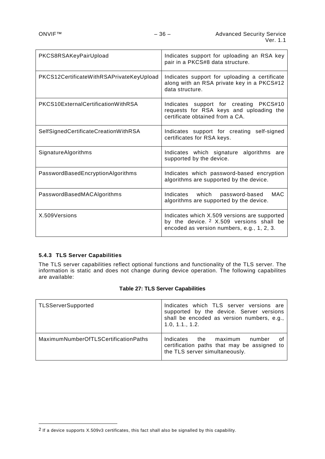| PKCS8RSAKeyPairUpload                    | Indicates support for uploading an RSA key<br>pair in a PKCS#8 data structure.                                                                    |
|------------------------------------------|---------------------------------------------------------------------------------------------------------------------------------------------------|
| PKCS12CertificateWithRSAPrivateKeyUpload | Indicates support for uploading a certificate<br>along with an RSA private key in a PKCS#12<br>data structure.                                    |
| PKCS10ExternalCertificationWithRSA       | Indicates support for creating PKCS#10<br>requests for RSA keys and uploading the<br>certificate obtained from a CA.                              |
| SelfSignedCertificateCreationWithRSA     | Indicates support for creating self-signed<br>certificates for RSA keys.                                                                          |
| SignatureAlgorithms                      | Indicates which signature algorithms are<br>supported by the device.                                                                              |
| PasswordBasedEncryptionAlgorithms        | Indicates which password-based encryption<br>algorithms are supported by the device.                                                              |
| PasswordBasedMACAlgorithms               | <b>MAC</b><br>Indicates which password-based<br>algorithms are supported by the device.                                                           |
| X.509Versions                            | Indicates which X.509 versions are supported<br>by the device. <sup>2</sup> X.509 versions shall be<br>encoded as version numbers, e.g., 1, 2, 3. |

# <span id="page-35-0"></span>**5.4.3 TLS Server Capabilities**

<u>.</u>

The TLS server capabilities reflect optional functions and functionality of the TLS server. The information is static and does not change during device operation. The following capabilites are available:

## **Table 27: TLS Server Capabilities**

| <b>TLSServerSupported</b>            | Indicates which TLS server versions are<br>supported by the device. Server versions<br>shall be encoded as version numbers, e.g.,<br>1.0, 1.1., 1.2. |
|--------------------------------------|------------------------------------------------------------------------------------------------------------------------------------------------------|
| MaximumNumberOfTLSCertificationPaths | Indicates<br>the<br>maximum<br>number<br>certification paths that may be assigned to<br>the TLS server simultaneously.                               |

<span id="page-35-1"></span><sup>2</sup> If a device supports X.509v3 certificates, this fact shall also be signalled by this capability.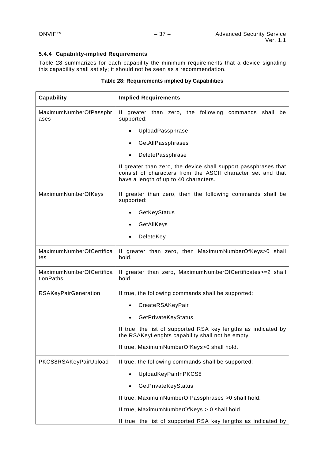## <span id="page-36-0"></span>**5.4.4 Capability-implied Requirements**

[Table 28](#page-36-1) summarizes for each capability the minimum requirements that a device signaling this capability shall satisfy; it should not be seen as a recommendation.

<span id="page-36-1"></span>

| <b>Capability</b>                     | <b>Implied Requirements</b>                                                                                                                                             |  |  |  |
|---------------------------------------|-------------------------------------------------------------------------------------------------------------------------------------------------------------------------|--|--|--|
| MaximumNumberOfPassphr<br>ases        | If greater than zero, the following commands shall be<br>supported:                                                                                                     |  |  |  |
|                                       | UploadPassphrase                                                                                                                                                        |  |  |  |
|                                       | GetAllPassphrases                                                                                                                                                       |  |  |  |
|                                       | DeletePassphrase                                                                                                                                                        |  |  |  |
|                                       | If greater than zero, the device shall support passphrases that<br>consist of characters from the ASCII character set and that<br>have a length of up to 40 characters. |  |  |  |
| MaximumNumberOfKeys                   | If greater than zero, then the following commands shall be<br>supported:                                                                                                |  |  |  |
|                                       | GetKeyStatus                                                                                                                                                            |  |  |  |
|                                       | GetAllKeys                                                                                                                                                              |  |  |  |
|                                       | DeleteKey                                                                                                                                                               |  |  |  |
| MaximumNumberOfCertifica<br>tes       | If greater than zero, then MaximumNumberOfKeys>0 shall<br>hold.                                                                                                         |  |  |  |
| MaximumNumberOfCertifica<br>tionPaths | If greater than zero, MaximumNumberOfCertificates>=2 shall<br>hold.                                                                                                     |  |  |  |
| <b>RSAKeyPairGeneration</b>           | If true, the following commands shall be supported:                                                                                                                     |  |  |  |
|                                       | CreateRSAKeyPair                                                                                                                                                        |  |  |  |
|                                       | GetPrivateKeyStatus                                                                                                                                                     |  |  |  |
|                                       | If true, the list of supported RSA key lengths as indicated by<br>the RSAKeyLenghts capability shall not be empty.                                                      |  |  |  |
|                                       | If true, MaximumNumberOfKeys>0 shall hold.                                                                                                                              |  |  |  |
| PKCS8RSAKeyPairUpload                 | If true, the following commands shall be supported:                                                                                                                     |  |  |  |
|                                       | UploadKeyPairInPKCS8                                                                                                                                                    |  |  |  |
|                                       | GetPrivateKeyStatus                                                                                                                                                     |  |  |  |
|                                       | If true, MaximumNumberOfPassphrases >0 shall hold.                                                                                                                      |  |  |  |
|                                       | If true, MaximumNumberOfKeys > 0 shall hold.                                                                                                                            |  |  |  |

If true, the list of supported RSA key lengths as indicated by

## **Table 28: Requirements implied by Capabilities**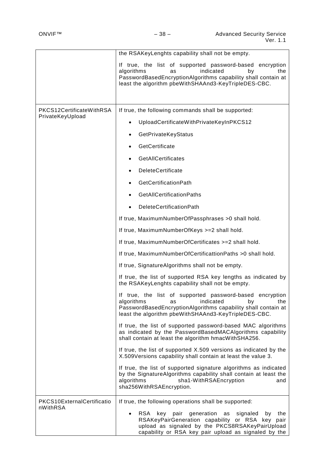|                            | the RSAKeyLenghts capability shall not be empty.                                                                                                                                                                                |
|----------------------------|---------------------------------------------------------------------------------------------------------------------------------------------------------------------------------------------------------------------------------|
|                            | If true, the list of supported password-based encryption<br>algorithms<br>indicated<br>by<br>as<br>the<br>PasswordBasedEncryptionAlgorithms capability shall contain at<br>least the algorithm pbeWithSHAAnd3-KeyTripleDES-CBC. |
| PKCS12CertificateWithRSA   | If true, the following commands shall be supported:                                                                                                                                                                             |
| PrivateKeyUpload           | UploadCertificateWithPrivateKeyInPKCS12                                                                                                                                                                                         |
|                            | GetPrivateKeyStatus                                                                                                                                                                                                             |
|                            | GetCertificate                                                                                                                                                                                                                  |
|                            | <b>GetAIICertificates</b>                                                                                                                                                                                                       |
|                            | <b>DeleteCertificate</b>                                                                                                                                                                                                        |
|                            | <b>GetCertificationPath</b>                                                                                                                                                                                                     |
|                            | GetAllCertificationPaths                                                                                                                                                                                                        |
|                            | DeleteCertificationPath                                                                                                                                                                                                         |
|                            | If true, MaximumNumberOfPassphrases > 0 shall hold.                                                                                                                                                                             |
|                            | If true, MaximumNumberOfKeys >=2 shall hold.                                                                                                                                                                                    |
|                            | If true, MaximumNumberOfCertificates >=2 shall hold.                                                                                                                                                                            |
|                            | If true, MaximumNumberOfCertificattionPaths >0 shall hold.                                                                                                                                                                      |
|                            | If true, SignatureAlgorithms shall not be empty.                                                                                                                                                                                |
|                            | If true, the list of supported RSA key lengths as indicated by<br>the RSAKeyLenghts capability shall not be empty.                                                                                                              |
|                            | If true, the list of supported password-based encryption<br>algorithms<br>indicated<br>the<br>by<br>as<br>PasswordBasedEncryptionAlgorithms capability shall contain at<br>least the algorithm pbeWithSHAAnd3-KeyTripleDES-CBC. |
|                            | If true, the list of supported password-based MAC algorithms<br>as indicated by the PasswordBasedMACAIgorithms capability<br>shall contain at least the algorithm hmacWithSHA256.                                               |
|                            | If true, the list of supported X.509 versions as indicated by the<br>X.509Versions capability shall contain at least the value 3.                                                                                               |
|                            | If true, the list of supported signature algorithms as indicated<br>by the SignatureAlgorithms capability shall contain at least the<br>algorithms<br>sha1-WithRSAEncryption<br>and<br>sha256WithRSAEncryption.                 |
| PKCS10ExternalCertificatio | If true, the following operations shall be supported:                                                                                                                                                                           |
| nWithRSA                   | RSA key pair generation as<br>signaled<br>the<br>by<br>RSAKeyPairGeneration capability or RSA key pair<br>upload as signaled by the PKCS8RSAKeyPairUpload<br>capability or RSA key pair upload as signaled by the               |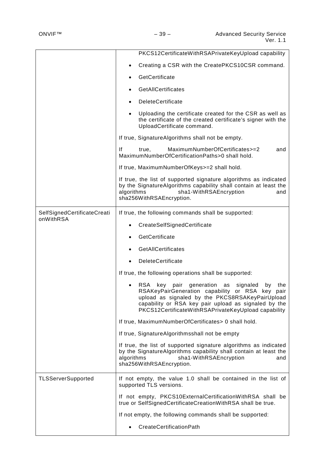|                                          | PKCS12CertificateWithRSAPrivateKeyUpload capability                                                                                                                                                                                                                                     |
|------------------------------------------|-----------------------------------------------------------------------------------------------------------------------------------------------------------------------------------------------------------------------------------------------------------------------------------------|
|                                          | Creating a CSR with the CreatePKCS10CSR command.                                                                                                                                                                                                                                        |
|                                          | GetCertificate                                                                                                                                                                                                                                                                          |
|                                          | <b>GetAIICertificates</b>                                                                                                                                                                                                                                                               |
|                                          | <b>DeleteCertificate</b>                                                                                                                                                                                                                                                                |
|                                          | Uploading the certificate created for the CSR as well as<br>the certificate of the created certificate's signer with the<br>UploadCertificate command.                                                                                                                                  |
|                                          | If true, SignatureAlgorithms shall not be empty.                                                                                                                                                                                                                                        |
|                                          | MaximumNumberOfCertificates>=2<br>lf<br>true.<br>and<br>MaximumNumberOfCertificationPaths>0 shall hold.                                                                                                                                                                                 |
|                                          | If true, MaximumNumberOfKeys>=2 shall hold.                                                                                                                                                                                                                                             |
|                                          | If true, the list of supported signature algorithms as indicated<br>by the SignatureAlgorithms capability shall contain at least the<br>sha1-WithRSAEncryption<br>algorithms<br>and<br>sha256WithRSAEncryption.                                                                         |
| SelfSignedCertificateCreati<br>onWithRSA | If true, the following commands shall be supported:                                                                                                                                                                                                                                     |
|                                          | CreateSelfSignedCertificate                                                                                                                                                                                                                                                             |
|                                          | GetCertificate                                                                                                                                                                                                                                                                          |
|                                          | GetAllCertificates                                                                                                                                                                                                                                                                      |
|                                          | <b>DeleteCertificate</b>                                                                                                                                                                                                                                                                |
|                                          | If true, the following operations shall be supported:                                                                                                                                                                                                                                   |
|                                          | generation<br>RSA<br>key<br>pair<br>as<br>signaled<br>by<br>the<br>RSAKeyPairGeneration capability or RSA key<br>pair<br>upload as signaled by the PKCS8RSAKeyPairUpload<br>capability or RSA key pair upload as signaled by the<br>PKCS12CertificateWithRSAPrivateKeyUpload capability |
|                                          | If true, MaximumNumberOfCertificates> 0 shall hold.                                                                                                                                                                                                                                     |
|                                          | If true, SignatureAlgorithmsshall not be empty                                                                                                                                                                                                                                          |
|                                          | If true, the list of supported signature algorithms as indicated                                                                                                                                                                                                                        |
|                                          | by the SignatureAlgorithms capability shall contain at least the<br>algorithms<br>sha1-WithRSAEncryption<br>and<br>sha256WithRSAEncryption.                                                                                                                                             |
| <b>TLSServerSupported</b>                | If not empty, the value 1.0 shall be contained in the list of<br>supported TLS versions.                                                                                                                                                                                                |
|                                          | If not empty, PKCS10ExternalCertificationWithRSA shall be<br>true or SelfSignedCertificateCreationWithRSA shall be true.                                                                                                                                                                |
|                                          | If not empty, the following commands shall be supported:                                                                                                                                                                                                                                |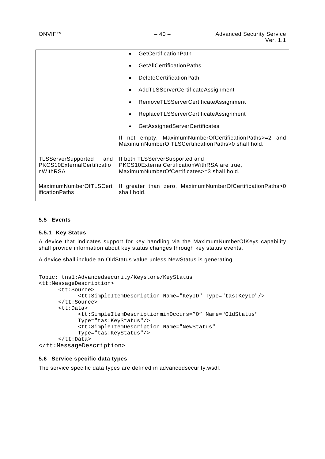|                                                                            | <b>GetCertificationPath</b>                                                                                                  |
|----------------------------------------------------------------------------|------------------------------------------------------------------------------------------------------------------------------|
|                                                                            | <b>GetAIICertificationPaths</b>                                                                                              |
|                                                                            | <b>DeleteCertificationPath</b>                                                                                               |
|                                                                            | AddTLSServerCertificateAssignment                                                                                            |
|                                                                            | RemoveTLSServerCertificateAssignment                                                                                         |
|                                                                            | ReplaceTLSServerCertificateAssignment                                                                                        |
|                                                                            | GetAssignedServerCertificates                                                                                                |
|                                                                            | not empty, MaximumNumberOfCertificationPaths>=2 and<br>lf.<br>MaximumNumberOfTLSCertificationPaths>0 shall hold.             |
| <b>TLSServerSupported</b><br>and<br>PKCS10ExternalCertificatio<br>nWithRSA | If both TLSServerSupported and<br>PKCS10ExternalCertificationWithRSA are true,<br>MaximumNumberOfCertificates>=3 shall hold. |
| MaximumNumberOfTLSCert<br>ificationPaths                                   | If greater than zero, MaximumNumberOfCertificationPaths>0<br>shall hold.                                                     |

## <span id="page-39-0"></span>**5.5 Events**

#### <span id="page-39-1"></span>**5.5.1 Key Status**

A device that indicates support for key handling via the MaximumNumberOfKeys capability shall provide information about key status changes through key status events.

A device shall include an OldStatus value unless NewStatus is generating.

```
Topic: tns1:Advancedsecurity/Keystore/KeyStatus
<tt:MessageDescription>
      <tt:Source>
            <tt:SimpleItemDescription Name="KeyID" Type="tas:KeyID"/>
      </tt:Source>
      <tt:Data>
            <tt:SimpleItemDescriptionminOccurs="0" Name="OldStatus" 
            Type="tas:KeyStatus"/>
            <tt:SimpleItemDescription Name="NewStatus" 
            Type="tas:KeyStatus"/>
      </tt:Data>
</tt:MessageDescription>
```
#### <span id="page-39-2"></span>**5.6 Service specific data types**

The service specific data types are defined in advancedsecurity.wsdl.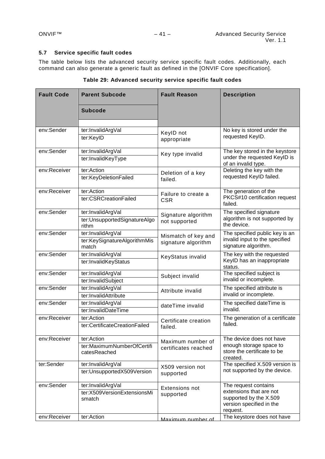## <span id="page-40-0"></span>**5.7 Service specific fault codes**

The table below lists the advanced security service specific fault codes. Additionally, each command can also generate a generic fault as defined in the [ONVIF Core specification].

| <b>Fault Code</b>          | <b>Parent Subcode</b>                                                    | <b>Fault Reason</b>                        | <b>Description</b>                                                                                                                              |
|----------------------------|--------------------------------------------------------------------------|--------------------------------------------|-------------------------------------------------------------------------------------------------------------------------------------------------|
|                            | <b>Subcode</b>                                                           |                                            |                                                                                                                                                 |
| env:Sender                 | ter:InvalidArgVal                                                        |                                            | No key is stored under the                                                                                                                      |
|                            | ter:KeyID                                                                | KeylD not<br>appropriate                   | requested KeylD.                                                                                                                                |
| env:Sender                 | ter:InvalidArgVal<br>ter:InvalidKeyType                                  | Key type invalid                           | The key stored in the keystore<br>under the requested KeylD is<br>of an invalid type.                                                           |
| env:Receiver               | ter:Action<br>ter:KeyDeletionFailed                                      | Deletion of a key<br>failed.               | Deleting the key with the<br>requested KeylD failed.                                                                                            |
| env:Receiver               | ter:Action<br>ter:CSRCreationFailed                                      | Failure to create a<br><b>CSR</b>          | The generation of the<br>PKCS#10 certification request<br>failed.                                                                               |
| env:Sender                 | ter:InvalidArgVal<br>ter:UnsupportedSignatureAlgo<br>rithm               | Signature algorithm<br>not supported       | The specified signature<br>algorithm is not supported by<br>the device.                                                                         |
| env:Sender                 | ter:InvalidArgVal<br>ter:KeySignatureAlgorithmMis<br>match               | Mismatch of key and<br>signature algorithm | The specified public key is an<br>invalid input to the specified<br>signature algorithm.                                                        |
| env:Sender                 | ter:InvalidArgVal<br>ter:InvalidKeyStatus                                | KeyStatus invalid                          | The key with the requested<br>KeylD has an inappropriate<br>status.                                                                             |
| env:Sender                 | ter:InvalidArgVal<br>ter:InvalidSubject                                  | Subject invalid                            | The specified subject is<br>invalid or incomplete.                                                                                              |
| env:Sender                 | ter:InvalidArgVal<br>ter:InvalidAttribute                                | Attribute invalid                          | The specified attribute is<br>invalid or incomplete.                                                                                            |
| env:Sender                 | ter:InvalidArgVal<br>ter:InvalidDateTime                                 | dateTime invalid                           | The specified dateTime is<br>invalid.                                                                                                           |
| env:Receiver               | ter:Action<br>ter:CertificateCreationFailed                              | Certificate creation<br>failed.            | The generation of a certificate<br>failed.                                                                                                      |
| env:Receiver               | ter:Action<br>ter:MaximumNumberOfCertifi<br>catesReached                 | Maximum number of<br>certificates reached  | The device does not have<br>enough storage space to<br>store the certificate to be<br>created.                                                  |
| ter:Sender                 | ter:InvalidArgVal<br>ter:UnsupportedX509Version                          | X509 version not<br>supported              | The specified X.509 version is<br>not supported by the device.                                                                                  |
| env:Sender<br>env:Receiver | ter:InvalidArgVal<br>ter:X509VersionExtensionsMi<br>smatch<br>ter:Action | Extensions not<br>supported                | The request contains<br>extensions that are not<br>supported by the X.509<br>version specified in the<br>request.<br>The keystore does not have |
|                            |                                                                          | Maximum number of                          |                                                                                                                                                 |

| Table 29: Advanced security service specific fault codes |  |  |  |  |  |  |  |  |
|----------------------------------------------------------|--|--|--|--|--|--|--|--|
|----------------------------------------------------------|--|--|--|--|--|--|--|--|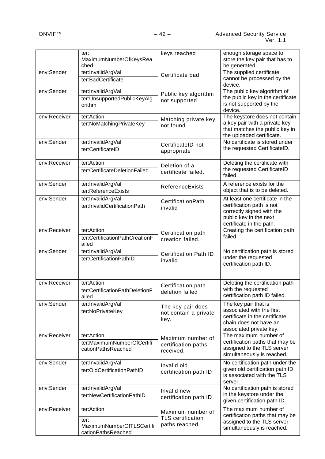|              | ter:<br>MaximumNumberOfKeysRea<br>ched                                | keys reached                                                   | enough storage space to<br>store the key pair that has to<br>be generated.                                                                      |
|--------------|-----------------------------------------------------------------------|----------------------------------------------------------------|-------------------------------------------------------------------------------------------------------------------------------------------------|
| env:Sender   | ter:InvalidArgVal<br>ter:BadCertificate                               | Certificate bad                                                | The supplied certificate<br>cannot be processed by the<br>device.                                                                               |
| env:Sender   | ter:InvalidArgVal<br>ter:UnsupportedPublicKeyAlg<br>orithm            | Public key algorithm<br>not supported                          | The public key algorithm of<br>the public key in the certificate<br>is not supported by the<br>device.                                          |
| env:Receiver | ter:Action<br>ter:NoMatchingPrivateKey                                | Matching private key<br>not found.                             | The keystore does not contain<br>a key pair with a private key<br>that matches the public key in<br>the uploaded certificate.                   |
| env:Sender   | ter:InvalidArgVal<br>ter:CertificateID                                | CertificateID not<br>appropriate                               | No certificate is stored under<br>the requested CertificateID.                                                                                  |
| env:Receiver | ter:Action<br>ter:CertificateDeletionFailed                           | Deletion of a<br>certificate failed.                           | Deleting the certificate with<br>the requested CertificateID<br>failed.                                                                         |
| env:Sender   | ter:InvalidArgVal<br>ter:ReferenceExists                              | <b>ReferenceExists</b>                                         | A reference exists for the<br>object that is to be deleted.                                                                                     |
| env:Sender   | ter:InvalidArgVal<br>ter:InvalidCertificationPath                     | CertificationPath<br>invalid                                   | At least one certificate in the<br>certification path is not<br>correctly signed with the<br>public key in the next<br>certificate in the path. |
| env:Receiver | ter:Action<br>ter:CertificationPathCreationF<br>ailed                 | Certification path<br>creation failed.                         | Creating the certification path<br>failed.                                                                                                      |
| env:Sender   | ter:InvalidArgVal<br>ter:CertificationPathID                          | <b>Certification Path ID</b><br>invalid                        | No certification path is stored<br>under the requested<br>certification path ID.                                                                |
| env:Receiver | ter:Action<br>ter:CertificationPathDeletionF<br>ailed                 | Certification path<br>deletion failed                          | Deleting the certification path<br>with the requested<br>certification path ID failed.                                                          |
| env:Sender   | ter:InvalidArgVal<br>ter:NoPrivateKey                                 | The key pair does<br>not contain a private<br>key.             | The key pair that is<br>associated with the first<br>certificate in the certificate<br>chain does not have an<br>associated private key.        |
| env:Receiver | ter:Action<br>ter:MaximumNumberOfCertifi<br>cationPathsReached        | Maximum number of<br>certification paths<br>received.          | The maximum number of<br>certification paths that may be<br>assigned to the TLS server<br>simultaneously is reached.                            |
| env:Sender   | ter:InvalidArgVal<br>ter:OldCertificationPathID                       | Invalid old<br>certification path ID                           | No certification path under the<br>given old certification path ID<br>is associated with the TLS<br>server.                                     |
| env:Sender   | ter:InvalidArgVal<br>ter:NewCertificationPathID                       | Invalid new<br>certification path ID                           | No certification path is stored<br>in the keystore under the<br>given certification path ID.                                                    |
| env:Receiver | ter:Action<br>ter:<br>MaximumNumberOfTLSCertifi<br>cationPathsReached | Maximum number of<br><b>TLS</b> certification<br>paths reached | The maximum number of<br>certification paths that may be<br>assigned to the TLS server<br>simultaneously is reached.                            |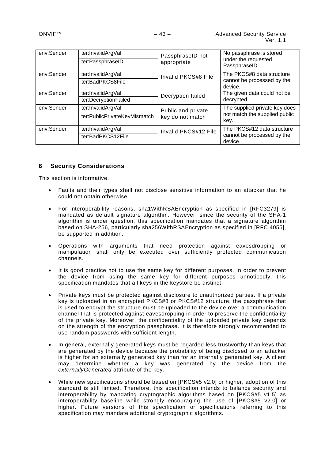| env:Sender | ter:InvalidArgVal<br>ter:PassphraseID             | PassphraseID not<br>appropriate        | No passphrase is stored<br>under the requested<br>PassphraseID.        |
|------------|---------------------------------------------------|----------------------------------------|------------------------------------------------------------------------|
| env:Sender | ter:InvalidArgVal<br>ter:BadPKCS8File             | Invalid PKCS#8 File                    | The PKCS#8 data structure<br>cannot be processed by the<br>device.     |
| env:Sender | ter:InvalidArgVal<br>ter:DecryptionFailed         | Decryption failed                      | The given data could not be<br>decrypted.                              |
| env:Sender | ter:InvalidArgVal<br>ter:PublicPrivateKeyMismatch | Public and private<br>key do not match | The supplied private key does<br>not match the supplied public<br>key. |
| env:Sender | ter:InvalidArgVal<br>ter:BadPKCS12File            | Invalid PKCS#12 File                   | The PKCS#12 data structure<br>cannot be processed by the<br>device.    |

## <span id="page-42-0"></span>**6 Security Considerations**

This section is informative.

- Faults and their types shall not disclose sensitive information to an attacker that he could not obtain otherwise.
- For interoperability reasons, sha1WithRSAEncryption as specified in [RFC3279] is mandated as default signature algorithm. However, since the security of the SHA-1 algorithm is under question, this specification mandates that a signature algorithm based on SHA-256, particularly sha256WithRSAEncryption as specified in [RFC 4055], be supported in addition.
- Operations with arguments that need protection against eavesdropping or manipulation shall only be executed over sufficiently protected communication channels.
- It is good practice not to use the same key for different purposes. In order to prevent the device from using the same key for different purposes unnoticedly, this specification mandates that all keys in the keystore be distinct.
- Private keys must be protected against disclosure to unauthorized parties. If a private key is uploaded in an encrypted PKCS#8 or PKCS#12 structure, the passphrase that is used to encrypt the structure must be uploaded to the device over a communication channel that is protected against eavesdropping in order to preserve the confidentiality of the private key. Moreover, the confidentiality of the uploaded private key depends on the strength of the encryption passphrase. It is therefore strongly recommended to use random passwords with sufficient length.
- In general, externally generated keys must be regarded less trustworthy than keys that are generated by the device because the probability of being disclosed to an attacker is higher for an externally generated key than for an internally generated key. A client may determine whether a key was generated by the device from the *externallyGenerated* attribute of the key.
- While new specifications should be based on [PKCS#5 v2.0] or higher, adoption of this standard is still limited. Therefore, this specification intends to balance security and interoperability by mandating cryptographic algorithms based on [PKCS#5 v1.5] as interoperability baseline while strongly encouraging the use of [PKCS#5 v2.0] or higher. Future versions of this specification or specifications referring to this specification may mandate additional cryptographic algorithms.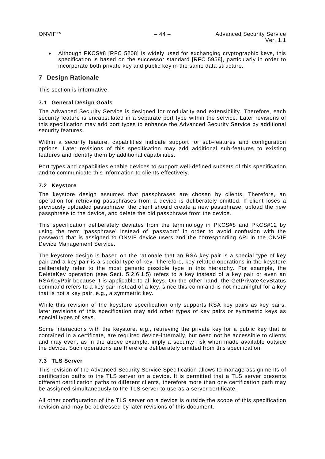• Although PKCS#8 [RFC 5208] is widely used for exchanging cryptographic keys, this specification is based on the successor standard [RFC 5958], particularly in order to incorporate both private key and public key in the same data structure.

## <span id="page-43-0"></span>**7 Design Rationale**

This section is informative.

## <span id="page-43-1"></span>**7.1 General Design Goals**

The Advanced Security Service is designed for modularity and extensibility. Therefore, each security feature is encapsulated in a separate port type within the service. Later revisions of this specification may add port types to enhance the Advanced Security Service by additional security features.

Within a security feature, capabilities indicate support for sub-features and configuration options. Later revisions of this specification may add additional sub-features to existing features and identify them by additional capabilities.

Port types and capabilities enable devices to support well-defined subsets of this specification and to communicate this information to clients effectively.

## <span id="page-43-2"></span>**7.2 Keystore**

The keystore design assumes that passphrases are chosen by clients. Therefore, an operation for retrieving passphrases from a device is deliberately omitted. If client loses a previously uploaded passphrase, the client should create a new passphrase, upload the new passphrase to the device, and delete the old passphrase from the device.

This specification deliberately deviates from the terminology in PKCS#8 and PKCS#12 by using the term 'passphrase' instead of 'password' in order to avoid confusion with the password that is assigned to ONVIF device users and the corresponding API in the ONVIF Device Management Service.

The keystore design is based on the rationale that an RSA key pair is a special type of key pair and a key pair is a special type of key. Therefore, key-related operations in the keystore deliberately refer to the most generic possible type in this hierarchy. For example, the DeleteKey operation (see Sect. [5.2.6.1.5\)](#page-15-0) refers to a key instead of a key pair or even an RSAKeyPair because it is applicable to all keys. On the other hand, the GetPrivateKeyStatus command refers to a key pair instead of a key, since this command is not meaningful for a key that is not a key pair, e.g., a symmetric key.

While this revision of the keystore specification only supports RSA key pairs as key pairs, later revisions of this specification may add other types of key pairs or symmetric keys as special types of keys.

Some interactions with the keystore, e.g., retrieving the private key for a public key that is contained in a certificate, are required device-internally, but need not be accessible to clients and may even, as in the above example, imply a security risk when made available outside the device. Such operations are therefore deliberately omitted from this specification.

## <span id="page-43-3"></span>**7.3 TLS Server**

This revision of the Advanced Security Service Specification allows to manage assignments of certification paths to the TLS server on a device. It is permitted that a TLS server presents different certification paths to different clients, therefore more than one certification path may be assigned simultaneously to the TLS server to use as a server certificate.

All other configuration of the TLS server on a device is outside the scope of this specification revision and may be addressed by later revisions of this document.